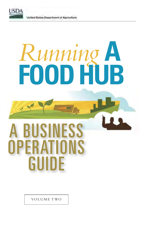

 $\sim$ 

United States Department of Agriculture

# *Running* **A FOOD HUB**

# A BUSINESS OPERATIONS GUIDE

VOLUME TWO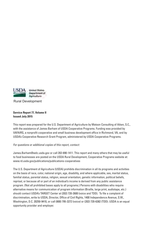

Rural Development

#### **Service Report 77, Volume II Issued July 2015**

This report was prepared for the U.S. Department of Agriculture by Matson Consulting of Aiken, S.C., with the assistance of James Barham of USDA Cooperative Programs. Funding was provided by VAFAIRS, a nonprofit cooperative and small business development office in Richmond, VA, and by USDA's Cooperative Research Grant Program, administered by USDA Cooperative Programs.

#### For questions or additional copies of this report, contact:

James.Barham@wdc.usda.gov or call 202-690-1411. This report and many others that may be useful to food businesses are posted on the USDA Rural Development, Cooperative Programs website at: www.rd.usda.gov/publications/publications-cooperatives

The U.S. Department of Agriculture (USDA) prohibits discrimination in all its programs and activities on the basis of race, color, national origin, age, disability, and where applicable, sex, marital status, familial status, parental status, religion, sexual orientation, genetic information, political beliefs, reprisal, or because all or part of an individual's income is derived from any public assistance program. (Not all prohibited bases apply to all programs.) Persons with disabilities who require alternative means for communication of program information (Braille, large print, audiotape, etc.) should contact USDA's TARGET Center at (202) 720-2600 (voice and TDD). To file a complaint of discrimination, write to USDA, Director, Office of Civil Rights, 1400 Independence Avenue, S.W., Washington, D.C. 20250-9410, or call (800) 795-3272 (voice) or (202) 720-6382 (TDD). USDA is an equal opportunity provider and employer.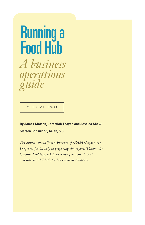# Running a Food Hub

*A business operations guide*

VOLUME TWO

**By James Matson, Jeremiah Thayer, and Jessica Shaw** Matson Consulting, Aiken, S.C.

*The authors thank James Barham of USDA Cooperative Programs for his help in preparing this report. Thanks also to Sasha Feldstein, a UC Berkeley graduate student and intern at USDA, for her editorial assistance.*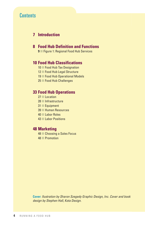## **Contents**

#### **7 Introduction**

#### **8 Food Hub Definition and Functions**

**9** Figure 1: Regional Food Hub Services

#### **10 Food Hub Classifications**

- 10 Food Hub Tax Designation
- 12 Food Hub Legal Structure
- 19 Food Hub Operational Models
- 25 Food Hub Challenges

#### **33 Food Hub Operations**

- 27 **Location**
- 28 Infrastructure
- $31$  Equipment
- 39 Human Resources
- 40 Labor Roles
- 43 Labor Positions

#### **48 Marketing**

- 48 Choosing a Sales Focus
- 48 Promotion

**Cover:** Ilustration by Sharon Szegedy Graphic Design, Inc. Cover and book design by Stephen Hall, Kota Design.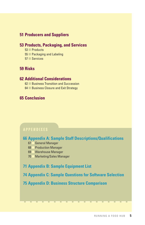#### **51 Producers and Suppliers**

#### **53 Products, Packaging, and Services**

- $53$  Products
- 55 Packaging and Labeling
- 57 Services

#### **59 Risks**

#### **62 Additional Considerations**

- 62 **Business Transition and Succession**
- 64 **Business Closure and Exit Strategy**

#### **65 Conclusion**

#### APPENDIXES

#### **66 Appendix A: Sample Staff Descriptions/Qualifications**

- 67 General Manager
- 68 Production Manager
- 69 Warehouse Manager
- 70 Marketing/Sales Manager

#### **71 Appendix B: Sample Equipment List**

**74 Appendix C: Sample Questions for Software Selection**

#### **75 Appendix D: Business Structure Comparison**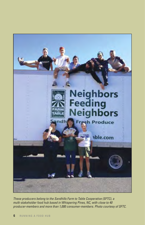

These producers belong to the Sandhills Farm to Table Cooperative (SFTC), a multi-stakeholder food hub based in Whispering Pines, NC, with close to 40 producer-members and more than 1,000 consumer-members. Photo courtesy of SFTC.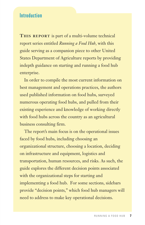### Introduction

**THIS REPORT** is part of a multi-volume technical report series entitled *Running a Food Hub*, with this guide serving as a companion piece to other United States Department of Agriculture reports by providing indepth guidance on starting and running a food hub enterprise.

 In order to compile the most current information on best management and operations practices, the authors used published information on food hubs, surveyed numerous operating food hubs, and pulled from their existing experience and knowledge of working directly with food hubs across the country as an agricultural business consulting firm.

 The report's main focus is on the operational issues faced by food hubs, including choosing an organizational structure, choosing a location, deciding on infrastructure and equipment, logistics and transportation, human resources, and risks. As such, the guide explores the different decision points associated with the organizational steps for starting and implementing a food hub. For some sections, sidebars provide "decision points," which food hub managers will need to address to make key operational decisions.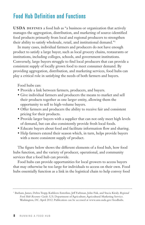# Food Hub Definition and Functions

**USDA DEFINES** a food hub as "a business or organization that actively manages the aggregation, distribution, and marketing of source-identified food products primarily from local and regional producers to strengthen their ability to satisfy wholesale, retail, and institutional demand."1

 In many cases, individual farmers and producers do not have enough product to satisfy a large buyer, such as local grocery chains, restaurants or institutions, including colleges, schools, and government institutions. Conversely, large buyers struggle to find local producers that can provide a consistent supply of locally grown food to meet consumer demand. By providing aggregation, distribution, and marketing services, food hubs can play a critical role in satisfying the needs of both farmers and buyers.

Food hubs can:

- Provide a link between farmers, producers, and buyers.
- Give individual farmers and producers the means to market and sell their products together as one larger entity, allowing them the opportunity to sell to high-volume buyers.
- Offer farmers and producers the ability to receive fair and consistent pricing for their products.
- Provide larger buyers with a supplier that can not only meet high levels of demand, but can also consistently provide fresh local foods.
- Educate buyers about food and facilitate information flow and sharing.
- Help farmers extend their season which, in turn, helps provide buyers with a more consistent supply of product.

 The figure below shows the different elements of a food hub, how food hubs function, and the variety of producer, operational, and community services that a food hub can provide.

 Food hubs can provide opportunities for local growers to access buyers that may otherwise be too large for individuals to access on their own. Food hubs essentially function as a link in the logistical chain to help convey food

<sup>1</sup> Barham, James, Debra Tropp, Kathleen Enterline, Jeff Farbman, John Fisk, and Stacia Kiraly. *Regional Food Hub Resource Guide*. U.S. Department of Agriculture, Agricultural Marketing Service. Washington, DC. April 2012. Publication can be accessed at www.ams.usda.gov/foodhubs.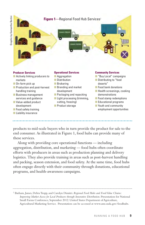

products to mid-scale buyers who in turn provide the product for sale to the end consumer. As illustrated in Figure 1, food hubs can provide many of these services.

 Along with providing core operational functions — including aggregation, distribution, and marketing — food hubs often coordinate efforts with producers in areas such as production planning and delivery logistics. They also provide training in areas such as post-harvest handling and packing, season extension, and food safety. At the same time, food hubs often engage directly with their community through donations, educational programs, and health-awareness campaigns.

<sup>2</sup> Barham, James, Debra Tropp, and Carolyn Dimitri. *Regional Food Hubs and Food Value Chains: Improving Market Access for Local Producers through Innovative Distribution*. Presentation for National Small Farms Conference, September 2012. United States Department of Agriculture, Agricultural Marketing Service. Presentation can be accessed at www.ams.usda.gov/foodhubs.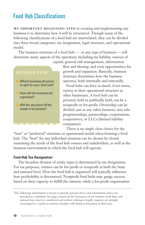# Food Hub Classifications

**AN IMPORTANT BEGINNING STEP** in creating and implementing any business is to determine how it will be structured. Though many of the following classifications of a food hub are interrelated, they can be divided into three broad categories: tax designation, legal structure, and operational model.

 The business structure of a food hub — or any type of business — will determine many aspects of the operation, including tax liability, sources of



capital, general risk management, information flow and sharing, and even opportunities for growth and expansion. Basically, business structure determines how the business operates, both internally and externally.

> Food hubs can have as much, if not more, variety in their operational structure as other businesses. A food hub can be privately held or publically held; can be a nonprofit or for-profit. Ownership can be divided, just as any other business, into sole proprietorships, partnerships, corporations, cooperatives, or LLCs (limited liability companies).

There is no single clear choice for the

"best" or "preferred" structure or operational model when forming a food hub. The "best" for any individual situation can be chosen by closely examining the needs of the food hub owners and stakeholders, as well as the business environment in which the food hub will operate.

#### **Food Hub Tax Designation**<sup>3</sup>

 The broadest division of entity types is determined by tax designation. For tax purposes, entities can be for-profit or nonprofit at both the State and national level. How the food hub is organized will typically influence how profitability is determined. Nonprofit food hubs may gauge success based on their capacity to fulfill the mission, while a for-profit organization

<sup>&</sup>lt;sup>3</sup>The following information is meant to provide general advice and information and is not intended as a substitute for legal counsel. In the formation of any business, both State and national laws must be considered, and entities wishing to legally organize are strongly encouraged to consult an attorney familiar with business formation in their area.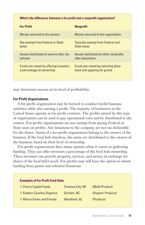#### **What's the difference between a for-profit and a nonprofit organization?**

| <b>For Profit</b>                       | <b>Nonprofit</b>                         |
|-----------------------------------------|------------------------------------------|
| Money returned to the owners            | Money returned to the organization       |
| Not exempt from Federal or State        | <b>Typically exempt from Federal and</b> |
| taxes                                   | State taxes                              |
| Assets distributed to owners after dis- | Assets distributed to other nonprofits   |
| solution                                | after dissolution                        |
| Funds are raised by offering investors  | Funds are raised by soliciting dona-     |
| a percentage of ownership               | tions and applying for grants            |

may determine success on its level of profitability.

#### **For-Profit Organizations**

 A for-profit organization may be formed to conduct lawful business activities while also earning a profit. The majority of businesses in the United States operate as for-profit ventures. The profits earned by this type of organization can be used to pay operational costs and be distributed to the owners. For-profit organizations are not exempt from paying Federal or State taxes on profits. Any donations to the company are not tax deductible for the donor. Assets of a for-profit organization belong to the owners of the business. If the food hub dissolves, the assets are distributed to the owners of the business, based on their level of ownership.

 For-profit organizations have many options when it comes to gathering funding. They can offer investors a percentage of the food hub ownership. These investors can provide property, services, and money in exchange for shares of the food hub's stock. For-profits may still have the option to obtain funding from grants and solicited donations.

| <b>Examples of For-Profit Food Hubs</b> |                          |                   |
|-----------------------------------------|--------------------------|-------------------|
| <b>Cherry Capital Foods</b>             | <b>Traverse City, MI</b> | (Multi-Product)   |
| <b>Eastern Carolina Organics</b>        | Durham, NC               | (Organic Produce) |
| <b>Moore Farms and Friends</b>          | <b>Woodland, AL</b>      | (Produce)         |
|                                         |                          |                   |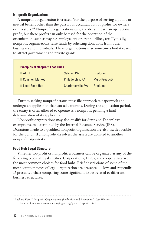#### **Nonprofit Organizations**

 A nonprofit organization is created "for the purpose of serving a public or mutual benefit other than the pursuit or accumulation of profits for owners or investors."4 Nonprofit organizations can, and do, still earn an operational profit, but these profits can only be used for the operation of the organization, such as paying employee wages, rent, utilites, etc. Typically, nonprofit organizations raise funds by soliciting donations from other businesses and individuals. These organizations may sometimes find it easier to attract government and private grants.

| <b>Examples of Nonprofit Food Hubs</b> |                     |                 |
|----------------------------------------|---------------------|-----------------|
| AI BA                                  | Salinas, CA         | (Produce)       |
| <b>Common Market</b>                   | Philadelphia, PA    | (Multi-Product) |
| Local Food Hub                         | Charlottesville, VA | (Produce)       |

 Entities seeking nonprofit status must file appropriate paperwork and undergo an application that can take months. During the application period, the entity is often allowed to operate as a nonprofit pending a final determination of its application.

 Nonprofit organizations may also qualify for State and Federal tax exemptions, as determined by the Internal Revenue Service (IRS). Donations made to a qualified nonprofit organization are also tax deductible for the donor. If a nonprofit dissolves, the assets are donated to another nonprofit organization.

#### **Food Hub Legal Structure**

 Whether for-profit or nonprofit, a business can be organized as any of the following types of legal entities. Corporations, LLCs, and cooperatives are the most common choices for food hubs. Brief descriptions of some of the most common types of legal organization are presented below, and Appendix D presents a chart comparing some significant issues related to different business structures.

<sup>4</sup> Luckert, Kate. "Nonprofit Organizations (Definition and Examples)." Case Western Reserve University www.learningtogive.org/papers/paper41.html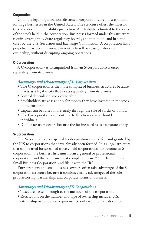#### **Corporation**

 Of all the legal organizations discussed, corporations are most common for large businesses in the United States. The structure offers the investor (stockholder) limited liability protection. Any liability is limited to the value of the stock held in the corporation. Businesses formed under this structure require oversight by State regulatory boards, at a minimum, and in some cases by the U.S. Securities and Exchange Commission. A corporation has a perpetual existence. Owners can routinely sell or reassign stock (or ownership) without disrupting ongoing operations.

#### **C-Corporation**

 A C-corporation (as distinguished from an S-corporation) is taxed separately from its owners.

#### *Advantages and Disadvantages of C-Corporations*

- The C-corporation is the most complex of business structures because it acts as a legal entity that exists separately from its owners.
- •Control depends on stock ownership.
- Stockholders are at risk only for money they have invested in the stock of the corporation.
- Capital can be raised more easily through the sale of stocks or bonds.
- The C-corporation can continue to function even without key individuals.
- Double taxation occurs because the business exists as a separate entity.

#### **S-Corporation**

 The S-corporation is a special tax designation applied for, and granted by, the IRS to corporations that have already been formed. It is a legal structure that can be used for so-called closely held corporations. To become an Scorporation, the business first must form a general or professional corporation, and the company must complete Form 2553, Election by a Small Business Corporation, and file it with the IRS.

 Entrepreneurs and small business owners often take advantage of the Scorporation structure because it combines many advantages of the sole proprietorship, partnership, and corporate forms of business.

#### *Advantages and Disadvantages of S-Corporations*

- Taxes are passed through to the members of the corporation.
- Restrictions on the number and type of ownership include: U.S. citizenship or residency requirements; only real individuals can be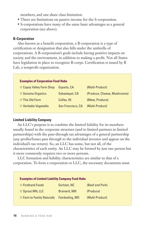members; and one share class limitation.

- There are limitations on passive income for the S-corporation.
- S-corporations have many of the same basic advantages as a general corporation (see above).

#### **B-Corporation**

 Also known as a benefit corporation, a B-corporation is a type of certification or designation that also falls under the umbrella of corporations. A B-corporation's goals include having positive impacts on society and the environment, in addition to making a profit. Not all States have legislation in place to recognize B-corps. Certification is issued by B Lab, a nonprofit organization.

#### **Examples of Corporation Food Hubs**

| <b>Capay Valley Farm Shop</b> | Esparto, CA       | (Multi-Product)              |
|-------------------------------|-------------------|------------------------------|
| Sonoma Organics               | Sebastopol, CA    | (Produce, Cheese, Mushrooms) |
| This Old Farm                 | Colfax, IN        | (Meat, Produce)              |
| <b>Veritable Vegetable</b>    | San Francisco, CA | (Multi-Product)              |

#### **Limited Liability Company**

 An LLC's purpose is to combine the limited liability for its members usually found in the corporate structure (and to limited partners in limited partnerships) with the pass-through tax advantages of a general partnership (any profits/losses pass through to the individual investor and appear on the individual's tax return). So, an LLC has some, but not all, of the characteristics of each entity. An LLC may be formed by just one person but it more commonly requires two or more persons.

 LLC formation and liability characteristics are similar to that of a corporation. To form a corporation or LLC, the necessary documents must

| <b>Examples of Limited Liability Company Food Hubs</b> |                     |                 |
|--------------------------------------------------------|---------------------|-----------------|
| <b>Firsthand Foods</b>                                 | Durham, NC          | (Beef and Pork) |
| Sprout MN, LLC                                         | <b>Brainerd, MN</b> | (Produce)       |
| <b>Farm to Family Naturally</b>                        | Fairdealing, MO     | (Multi-Product) |
|                                                        |                     |                 |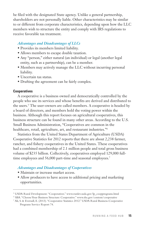be filed with the designated State agency. Unlike a general partnership, shareholders are not personally liable. Other characteristics may be similar to or different from corporate characteristics, depending upon how the LLC members wish to structure the entity and comply with IRS regulations to receive favorable tax treatment.

#### *Advantages and Disadvantages of LLCs*

- Provides its members limited liability.
- Allows members to escape double taxation.
- Any "person," either natural (an individual) or legal (another legal entity, such as a partnership), can be a member.
- Members may actively manage the LLC without incurring personal liability.
- Uncertain tax status.
- Drafting the agreement can be fairly complex.

#### **Cooperatives**

 A cooperative is a business owned and democratically controlled by the people who use its services and whose benefits are derived and distributed to the users.5 The user-owners are called members. A cooperative is headed by a board of directors, and members hold the voting power within the business. Although this report focuses on agricultural cooperatives, this business structure can be found in many other areas. According to the U.S. Small Business Administration, "Cooperatives are common in the healthcare, retail, agriculture, art, and restaurant industries."6

 Statistics from the United States Department of Agriculture (USDA) Cooperative Statistics for 2012 reports that there are about 2,238 farmer, rancher, and fishery cooperatives in the United States. These cooperatives had a combined membership of 2.1 million people and total gross business volume of \$235 billion. Collectively, cooperatives employed 129,000 fulltime employees and 56,000 part-time and seasonal employees.<sup>7</sup>

#### *Advantages and Disadvantages of Cooperatives*

- Maintain or increase market access.
- Allow producers to have access to additional pricing and marketing opportunities.

<sup>5</sup> USDA Rural Development. "Cooperatives." www.rurdev.usda.gov/lp\_coopprograms.html

<sup>5</sup> SBA. "Choose Your Business Structure: Cooperative." www.sba.gov/content/cooperative

<sup>7</sup> Ali, S. & Eversull, E. (2013). "Cooperative Statistics 2012." USDA Rural Business-Cooperative Programs Service Report 74.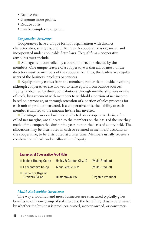- Reduce risk.
- Generate more profits.
- Reduce costs.
- Can be complex to organize.

#### *Cooperative Structure*

 Cooperatives have a unique form of organization with distinct characteristics, strengths, and difficulties. A cooperative is organized and incorporated under applicable State laws. To qualify as a cooperative, attributes must include:

**n** Management controlled by a board of directors elected by the members. One unique feature of a cooperative is that all, or most, of the directors must be members of the cooperative. Thus, the leaders are regular users of the business' products or services.

Equity mainly comes from the members, rather than outside investors, although cooperatives are allowed to raise equity from outside sources. Equity is obtained by direct contributions through membership fees or sale of stock, by agreement with members to withhold a portion of net income based on patronage, or through retention of a portion of sales proceeds for each unit of product marketed. If a cooperative fails, the liability of each member is limited to the amount he/she has invested.

■ Earnings/losses on business conducted on a cooperative basis, often called net margins, are allocated to the members on the basis of the use they made of the cooperative during the year, not on the basis of equity held. The allocations may be distributed in cash or retained in members' accounts in the cooperative, to be distributed at a later time. Members usually receive a combination of cash and an allocation of equity.

#### **Examples of Cooperative Food Hubs**

| Idaho's Bounty Co-op               | Hailey & Garden City, ID | (Multi-Product)   |
|------------------------------------|--------------------------|-------------------|
| La Montañita Co-op                 | Albuguergue, NM          | (Multi-Product)   |
| Tuscarora Organic<br>Growers Co-op | Hustontown, PA           | (Organic Produce) |

#### *Multi-Stakeholder Structures*

 The way a food hub and most businesses are structured typically gives benefits to only one group of stakeholders; the benefiting class is determined by whether the business is producer-owned, worker-owned, or consumer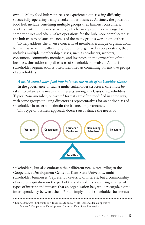owned. Many food hub ventures are experiencing increasing difficulty successfully operating a single-stakeholder business. At times, the goals of a food hub include benefiting multiple groups (i.e., farmers, consumers, workers) within the same structure, which can represent a challenge for some ventures and often makes operations for the hub more complicated as the hub tries to balance the needs of the many groups working together.

 To help address the diverse concerns of members, a unique organizational format has arisen, mostly among food hubs organized as cooperatives, that includes multiple membership classes, such as producers, workers, consumers, community members, and investors, in the ownership of the business, thus addressing all classes of stakeholders involved. A multistakeholder organization is often identified as containing at least two groups of stakeholders.

#### *A multi-stakeholder food hub balances the needs of stakeholder classes*

 In the governance of such a multi-stakeholder structure, care must be taken to balance the needs and interests among all classes of stakeholders. Typical "one-member, one-vote" formats are often modified in some way, with some groups utilizing directors as representatives for an entire class of stakeholder in order to maintain the balance of governance.

This type of business approach doesn't just balance the needs of



stakeholders, but also embraces their different needs. According to the Cooperative Development Center at Kent State University, multistakeholder businesses "represent a diversity of interest, but a commonality of need or aspiration on the part of the stakeholders, capturing a range of types of interest and impacts that an organization has, while recognizing the interdependency between them."8 Put simply, multi-stakeholder businesses

<sup>8</sup> Lund, Margaret. "Solidarity as a Business Model: A Multi-Stakeholder Cooperative Manual." Cooperative Development Center at Kent State University.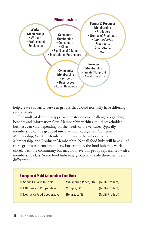

help create solidarity between groups that would normally have differing sets of needs.

 The multi-stakeholder approach creates unique challenges regarding benefits and information flow. Membership within a multi-stakeholder business can vary depending on the needs of the venture. Typically, membership can be grouped into five main categories: Consumer Membership, Worker Membership, Investor Membership, Community Membership, and Producer Membership. Not all food hubs will have all of these groups as formal members. For example, the food hub may work closely with the community but may not have this group represented with a membership class. Some food hubs may group or classify these members differently.

| <b>Examples of Multi-Stakeholder Food Hubs</b> |                             |                 |
|------------------------------------------------|-----------------------------|-----------------|
| <b>Sandhills Farm to Table</b>                 | <b>Whispering Pines, NC</b> | (Multi-Product) |
| <b>Fifth Season Cooperative</b>                | Virogua, WI                 | (Multi-Product) |
| Nebraska Food Cooperative                      | Belgrade, NE                | (Multi-Product) |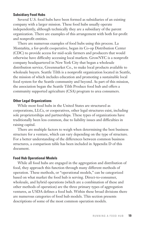#### **Subsidiary Food Hubs**

 Several U.S. food hubs have been formed as subsidiaries of an existing company with a larger mission. These food hubs usually operate independently, although technically they are a subsidiary of the parent organization. There are examples of this arrangement with both for-profit and nonprofit entities.

 There are numerous examples of food hubs using this process. La Montañita, a for-profit cooperative, began its Co-op Distribution Center (CDC) to provide access for mid-scale farmers and producers that would otherwise have difficulty accessing local markets. GrowNYC is a nonprofit company headquartered in New York City that began a wholesale distribution service, Greenmarket Co., to make local products available to wholesale buyers. Seattle Tilth is a nonprofit organization located in Seattle, the mission of which includes education and promoting a sustainable local food system for the Seattle community and beyond. As part of this mission, the association began the Seattle Tilth Produce food hub and offers a community supported agriculture (CSA) program to area consumers.

#### **Other Legal Organizations**

 While most food hubs in the United States are structured as corporations, LLCs, or cooperatives, other legal structures exist, including sole proprietorships and partnerships. These types of organizations have traditionally been less common, due to liability issues and difficulties in raising capital.

 There are multiple factors to weigh when determining the best business structure for a venture, which can vary depending on the type of structure. For a better understanding of the differences between common business structures, a comparison table has been included in Appendix D of this document.

#### **Food Hub Operational Models**

 While all food hubs are engaged in the aggregation and distribution of food, they approach this function through many different methods of operation. These methods, or "operational models," can be categorized based on what market the food hub is serving. Direct-to-consumer, wholesale, and hybrid operations (which are a combination of these and other methods of operation) are the three primary types of aggregation ventures, as USDA defines a food hub. Within these broad divisions there are numerous categories of food hub models. This section presents descriptions of some of the most common operation models.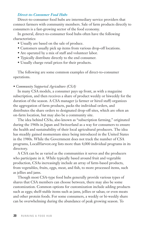#### *Direct-to-Consumer Food Hubs*

 Direct-to-consumer food hubs are intermediary service providers that connect farmers with community members. Sale of farm products directly to consumers is a fast-growing sector of the food economy.

 In general, direct-to-consumer food hubs often have the following characteristics:

- Usually are based on the sale of produce.
- Customers usually pick up items from various drop-off locations.
- Are operated by a mix of staff and volunteer labor.
- Typically distribute directly to the end consumer.
- Usually charge retail prices for their products.

 The following are some common examples of direct-to-consumer operations.

*• Community Supported Agriculture (CSA)*

 In many CSA models, a consumer pays up front, as with a magazine subscription, and then receives a share of product weekly or biweekly for the duration of the season. A CSA manager (a farmer or hired staff) organizes the aggregation of farm products, packs the individual orders, and distributes the share orders to designated drop-off sites, which are often an on-farm location, but may also be a community site.

 The idea behind CSAs, also known as "subscription farming," originated during the 1960s in Japan and Switzerland as a way for consumers to ensure the health and sustainability of their local agricultural producers. The idea has steadily gained momentum since being introduced in the United States in the 1980s. While the Government does not track the number of CSA programs, LocalHarvest.org lists more than 4,000 individual programs in its directory.

 A CSA can be as varied as the communities it serves and the producers who participate in it. While typically based around fruit and vegetable production, CSAs increasingly include an array of farm-based products, from vegetables, fruits, eggs, meat, and fish, to more processed items, such as jellies and jams.

 Though most CSA-type food hubs generally provide various types of shares that CSA members can choose between, there may also be some customization. Common options for customization include adding products such as eggs; shelf-stable items such as jams, jellies or salsas; or even meats and other protein foods. For some consumers, a weekly or bi-weekly share can be overwhelming during the abundance of peak growing season. To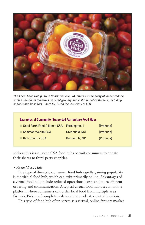

The Local Food Hub (LFH) in Charlottesville, VA, offers a wide array of local produce, such as heirloom tomatoes, to retail grocery and institutional customers, including schools and hospitals. Photo by Justin Ide, courtesy of LFH.

| <b>Examples of Community Supported Agriculture Food Hubs</b> |                |           |  |
|--------------------------------------------------------------|----------------|-----------|--|
| Good Earth Food Alliance CSA Farmington, IL                  |                | (Produce) |  |
| <b>Common Wealth CSA</b>                                     | Greenfield, MA | (Produce) |  |
| <b>High Country CSA</b>                                      | Banner Elk, NC | (Produce) |  |

address this issue, some CSA food hubs permit consumers to donate their shares to third-party charities.

#### *• Virtual Food Hubs*

 One type of direct-to-consumer food hub rapidly gaining popularity is the virtual food hub, which can exist primarily online. Advantages of a virtual food hub include reduced operational costs and more efficient ordering and communication. A typical virtual food hub uses an online platform where consumers can order local food from multiple area farmers. Pickup of complete orders can be made at a central location.

This type of food hub often serves as a virtual, online farmers market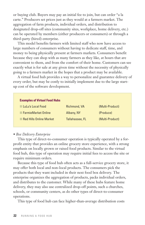or buying club. Buyers may pay an initial fee to join, but can order "a la carte." Producers set prices just as they would at a farmers market. The aggregation of farm products, individual orders, and distribution to designated drop-off sites (community sites, workplace, home delivery, etc.) can be operated by members (either producers or consumers) or through a third-party (hired) enterprise.

 This model benefits farmers with limited staff who now have access to large numbers of consumers without having to dedicate staff, time, and money to being physically present at farmers markets. Consumers benefit because they can shop with as many farmers as they like, at hours that are convenient to them, and from the comfort of their home. Customers can see exactly what is for sale at any given time without the necessity of physically going to a farmers market in the hopes that a product may be available.

 A virtual food hub provides a way to personalize and guarantee delivery of every order, but may be costly to initially implement due to the large startup cost of the software development.

| <b>Examples of Virtual Food Hubs</b> |                 |                 |
|--------------------------------------|-----------------|-----------------|
| LuLu's Local Food                    | Richmond, VA    | (Multi-Product) |
| <b>FarmieMarket Online</b>           | Albany, NY      | (Produce)       |
| <b>Red Hills Online Market</b>       | Tallahassee, FL | (Multi-Product) |

#### *• Box Delivery Enterprise*

 This type of direct-to-consumer operation is typically operated by a forprofit entity that provides an online grocery store experience, with a strong emphasis on locally grown or raised food products. Similar to the virtual food hub, this type of operation may require initial fees to access the site or require minimum orders.

 Because this type of food hub often acts as a full-service grocery store, it may offer both local and non-local products. The consumers pick the products that they want included in their next food box delivery. The enterprise organizes the aggregation of products, packs individual orders, and distributes to the customer. While many of these hubs feature home delivery, they may also use centralized drop-off points, such a churches, schools, or community centers, as do other types of direct-to-consumer operations.

This type of food hub can face higher-than-average distribution costs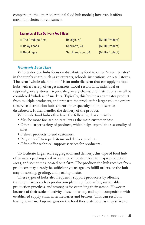compared to the other operational food hub models; however, it offers maximum choice for consumers.

| <b>Examples of Box Delivery Food Hubs</b> |                      |                 |
|-------------------------------------------|----------------------|-----------------|
| The Produce Box                           | Raleigh, NC          | (Multi-Product) |
| <b>Relay Foods</b>                        | <b>Charlotte, VA</b> | (Multi-Product) |
| Good Eggs                                 | San Francisco, CA    | (Multi-Product) |

#### *Wholesale Food Hubs*

 Wholesale-type hubs focus on distributing food to other "intermediates" in the supply chain, such as restaurants, schools, institutions, or retail stores. The term "wholesale food hub" is an umbrella term that can apply to food hubs with a variety of target markets. Local restaurants, individual or regional grocery stores, large-scale grocery chains, and institutions can all be considered "wholesale" markets. Typically, this business aggregates product from multiple producers, and prepares the product for larger volume orders to service distribution hubs and/or other specialty and foodservice distributors. It then handles the delivery of the product.

Wholesale food hubs often have the following characteristics:

- May be more focused on retailers as the main customer base.
- Offer a larger variety of products, which helps expand the seasonality of sales.
- Deliver products to end customers.
- Rely on staff to repack items and deliver product.
- Often offer technical support services for producers.

 To facilitate larger scale aggregation and delivery, this type of food hub often uses a packing shed or warehouse located close to major production areas, and sometimes located on a farm. The products the hub receives from producers may already be sufficiently packaged to fulfill orders, or the hub may do sorting, grading, and packing onsite.

 These types of hubs also frequently support producers by offering training in areas such as production planning, food safety, sustainable production practices, and strategies for extending their season. However, because of their scale of activity, these hubs may end up in competition with established supply chain intermediaries and brokers. This can result in having lower markup margins on the food they distribute, as they strive to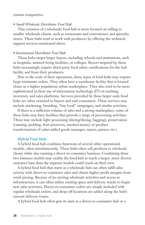remain competitive.

#### *• Small Wholesale Distributor Food Hub*

 This variation of a wholesale food hub is more focused on selling to smaller wholesale clients, such as restaurants and convenience and specialty stores. These hubs tend to work with producers by offering the technical support services mentioned above.

#### *• Institutional Distributor Food Hub*

 These hubs target larger buyers, including schools and institutions, such as hospitals, assisted-living facilities, or colleges. Buyers targeted by these hubs increasingly require third-party food safety certifications for the hub facility and from their producers.

 Due to the scale of their operations, these types of food hubs may require large minimum orders. They often have a warehouse facility that is located closer to a higher population urban marketplace. They also tend to be more sophisticated in their use of information technology (IT) in tracking, inventory, and sales platforms. Services provided by these larger scale food hubs are often oriented to buyers and end-consumers. These services may include marketing, branding, "buy local" campaigns, and similar activities.

 If there is a sufficient volume of sales and a strong marketplace, some of these hubs may have facilities that provide a range of processing activities. These may include light processing (slicing/dicing, bagging), preservation (canning, pickling, fruit preserves, smoked meats), or product transformation of value-added goods (sausages, sauces, purees, etc.)

#### *Hybrid Food Hubs*

 A hybrid food hub combines functions of several other operational models, often simultaneously. These hubs often sell products to wholesale clients while also running a direct-to-consumer business. Combining these two business models may enable the food hub to reach a larger, more diverse customer base than the separate models could reach on their own.

 A hybrid food hub that starts as a wholesale hub can often infill sales activity with direct-to-consumer sales and obtain higher profit margins from retail pricing. Because of its existing wholesale activities and access to infrastructure, it can often utilize existing space and delivery trucks to begin new sales activities. Direct-to-consumer orders are simply included with regular wholesale orders, and drop-off locations are added along the hub's current delivery routes.

A hybrid food hub often gets its start as a direct-to-consumer hub or a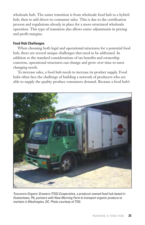wholesale hub. The easier transition is from wholesale food hub to a hybrid hub, then to add direct-to-consumer sales. This is due to the certification process and regulations already in place for a more structured wholesale operation. This type of transition also allows easier adjustments in pricing and profit margins.

#### **Food Hub Challenges**

 When choosing both legal and operational structures for a potential food hub, there are several unique challenges that need to be addressed. In addition to the standard considerations of tax benefits and ownership concerns, operational structures can change and grow over time to meet changing needs.

 To increase sales, a food hub needs to increase its product supply. Food hubs often face the challenge of building a network of producers who are able to supply the quality produce consumers demand. Because a food hub's



Tuscarora Organic Growers (TOG) Cooperative, a producer-owned food hub based in Hustontown, PA, partners with New Morning Farm to transport organic produce to markets in Washington, DC. Photo courtesy of TOG.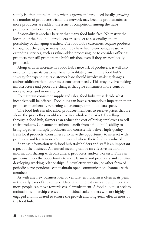supply is often limited to only what is grown and produced locally, growing the number of producers within the network may become problematic; as more producers are added, the issue of competition among the hub's producer-members may arise.

 Seasonality is another barrier that many food hubs face. No matter the location of the food hub, producers are subject to seasonality and the possibility of damaging weather. The food hub's customers require products throughout the year, so many food hubs have had to encourage seasonextending services, such as value-added processing, or to consider offering products that still promote the hub's mission, even if they are not locally produced.

 Along with an increase in a food hub's network of producers, it will also need to increase its customer base to facilitate growth. The food hub's strategy for expanding its customer base should involve making changes and/or additions that better meet consumer needs. This may involve making infrastructure and procedure changes that give consumers more control, more variety, and more choice.

 To maintain consistent supply and sales, food hubs must decide what incentives will be offered. Food hubs can have a tremendous impact on their producer-members by returning a percentage of food dollars spent.

 The food hub can also allow producer-members to receive prices that are above the prices they would receive in a wholesale market. By selling through a food hub, farmers can reduce the cost of hiring employees to sell their products. Consumer-members benefit from a food hub's ability to bring together multiple producers and consistently deliver high-quality, fresh local products. Consumers also have the opportunity to interact with producers and learn more about how and where their food is produced.

 Sharing information with food hub stakeholders and staff is an important aspect of the business. An annual meeting can be an effective method of information sharing with consumers, producers, and/or workers. This can give consumers the opportunity to meet farmers and producers and continue developing working relationships. A newsletter, website, or other form of periodic correspondence can maintain open communication channels with members.

 As with any new business idea or venture, enthusiasm is often at its peak in the early days of the venture. Over time, interest can wane and more and more people can move towards casual involvement. A food hub must seek to maintain membership classes and individual stakeholders who are highly engaged and motivated to ensure the growth and long-term effectiveness of the food hub.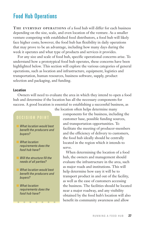# Food Hub Operations

**THE EVERYDAY OPERATIONS** of a food hub will differ for each business depending on the size, scale, and even location of the venture. As a smaller venture competing with established food distributors, a food hub will likely face higher costs; however, the food hub has flexibility in daily operations that may prove to be an advantage, including how many days during the week it operates and what type of products and services it provides.

 For any size and scale of food hub, specific operational concerns arise. To understand how a prototypical food hub operates, these concerns have been highlighted below. This section will explore the various categories of general operations, such as location and infrastructure, equipment, logistics and transportation, human resources, business software, supply, product selection and packaging, and funding.

#### **Location**

 Owners will need to evaluate the area in which they intend to open a food hub and determine if the location has all the necessary components for success. A good location is essential to establishing a successful business, as

#### DECISION POINT

- What location would best benefit the producers and buyers?
- What location requirements does the food hub have?
- Will the structure fill the needs of all parties?
- What location would best benefit the producers and buyers?
- **What location** requirements does the food hub have?

the location often helps determine many

components for the business, including the customer base, possible funding sources, and transportation opportunities. To facilitate the meeting of producer-members and the efficiency of delivery to customers, the food hub ideally should be centrally located in the region which it intends to serve.

When determining the location of a food hub, the owners and management should evaluate the infrastructure in the area, such as major roads and institutions. This will help determine how easy it will be to transport product in and out of the facility, as well as the ease of customers accessing the business. The facilities should be located near a major roadway, and any visibility obtained by the food hub's location will also benefit its community awareness and allow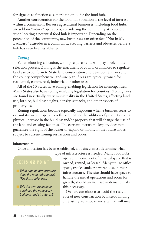for signage to function as a marketing tool for the food hub.

 Another consideration for the food hub's location is the level of interest within a community. Because agricultural businesses, including food hubs, are seldom "9-to-5" operations, considering the community atmosphere when locating a potential food hub is important. Depending on the perception of the community, new businesses can often face "Not in My Backyard" attitudes in a community, creating barriers and obstacles before a hub has even been established.

#### *Zoning*

 When choosing a location, zoning requirements will play a role in the selection process. Zoning is the enactment of county ordinances to regulate land use to conform to State land conservation and development laws and the county comprehensive land-use plan. Areas are typically zoned for residential, commercial, industrial, or other uses.

 All of the 50 States have zoning-enabling legislation for municipalities. Many States also have zoning-enabling legislation for counties. Zoning laws are found in virtually every municipality in the United States, affecting land use, lot size, building heights, density, setbacks, and other aspects of property use.

 Zoning regulations become especially important when a business seeks to expand its current operations through either the addition of production or a physical increase in the building and/or property that will change the use of the land and existing facilities. The current operation's legality does not guarantee the right of the owner to expand or modify in the future and is subject to current zoning restrictions and codes.

#### **Infrastructure**

Once a location has been established, a business must determine what



What type of infrastructure does the food hub require? (Facility, trucks, etc.)

Will the owners lease or purchase the necessary buildings and structures?

type of infrastructure is needed. Many food hubs operate in some sort of physical space that is owned, rented, or leased. Many utilize office space, trucks, and/or a warehouse in their infrastructure. The site should have space to handle the initial operations and room for growth, should an increase in demand make this necessary.

> Owners can choose to avoid the risks and cost of new construction by instead finding an existing warehouse and site that will meet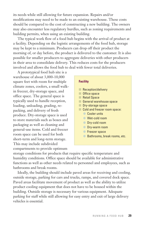its needs while still allowing for future expansion. Repairs and/or modifications may need to be made to an existing warehouse. These costs should be compared to the cost of constructing a new building. The owners may also encounter less regulatory hurdles, such as zoning requirements and building permits, when using an existing building.

 The typical work flow of a food hub begins with the arrival of product at a facility. Depending on the logistic arrangements of the food hub, storage may be kept to a minimum. Producers can drop off their product the morning of, or day before, the product is delivered to the customer. It is also possible for smaller producers to aggregate deliveries with other producers in their area to consolidate delivery. This reduces costs for the producers involved and allows the food hub to deal with fewer total deliveries.

 A prototypical food hub site is a warehouse of about 3,000-10,000 square feet with room for multiple climate zones, coolers, a small walkin freezer, dry-storage space, and office space. The general space is typically used to handle reception, loading, unloading, grading, repacking, and delivery of fresh produce. Dry-storage space is used to store materials such as boxes and packaging as well as cleaning and general-use items. Cold and freezer room space can be used for both short-term and long-term storage. This may include subdivided compartments to provide optimum

#### **Facility**

- **Reception/delivery**
- $\blacksquare$  Office space
- **n** Retail Space
- $\Box$  General warehouse space
- **n** Dry-storage space
- Cold and freezer room space:
	- **Cooler units**
	- Wet-cold room
	- **Dry-cold room**
	- **Dry-warm room**
	- **C** Freezer space
	- Bathrooms, break rooms, etc.

storage conditions for products that require specific temperature and humidity conditions. Office space should be available for administrative functions as well as other needs related to personnel and employees, such as bathrooms and break rooms.

 Ideally, the building should include paved areas for receiving and cooling, outside storage, parking for cars and trucks, ramps, and covered dock space. Paved areas facilitate movement of product as well as the ability to utilize product cooling equipment that does not have to be housed within the building. Outside storage is necessary for various equipment. Adequate parking for staff while still allowing for easy entry and exit of large delivery vehicles is essential.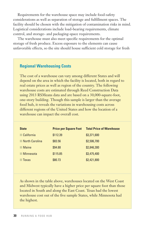Requirements for the warehouse space may include food-safety considerations as well as separation of storage and fulfillment spaces. The facility should be chosen with the mitigation of contamination risks in mind. Logistical considerations include load-bearing requirements, climate control, and storage- and packaging-space requirements.

 The warehouse must also meet specific requirements for the optimal storage of fresh produce. Excess exposure to the elements can cause unfavorable effects, so the site should house sufficient cold storage for fresh

#### **Regional Warehousing Costs**

The cost of a warehouse can vary among different States and will depend on the area in which the facility is located, both in regard to real estate prices as well as region of the country. The following warehouse costs are estimated through Reed Construction Data using 2013 RSMeans data and are based on a 30,000-square-foot, one-story building. Though this sample is larger than the average food hub, it reveals the variations in warehousing costs across different regions of the United States and how the location of a warehouse can impact the overall cost.

| <b>State</b>          | <b>Price per Square Foot</b> | <b>Total Price of Warehouse</b> |
|-----------------------|------------------------------|---------------------------------|
| California            | \$112.39                     | \$3,371,600                     |
| <b>North Carolina</b> | \$83.56                      | \$2,506,700                     |
| <b>Maine</b>          | \$94.88                      | \$2,846,300                     |
| <b>Minnesota</b>      | \$115.85                     | \$3,475,400                     |
| Texas                 | \$80.73                      | \$2,421,800                     |

As shown in the table above, warehouses located on the West Coast and Midwest typically have a higher price per square foot than those located in South and along the East Coast. Texas had the lowest warehouse cost out of the five sample States, while Minnesota had the highest.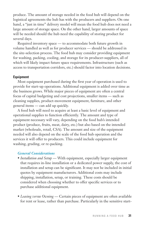produce. The amount of storage needed in the food hub will depend on the logistical agreements the hub has with the producers and suppliers. On one hand, a "just in time" delivery model will mean the food hub does not need a large amount of storage space. On the other hand, larger amounts of space will be needed should the hub need the capability of storing product for several days.

 Required inventory space — to accommodate both future growth in volume handled as well as for producer services — should be addressed in the site-selection process. The food hub may consider providing equipment for washing, packing, cooling, and storage for its producer-suppliers, all of which will likely impact future space requirements. Infrastructure (such as access to transportation corridors, etc.) should factor into location decisions.

#### **Equipment**

 Most equipment purchased during the first year of operation is used to provide for start-up operations. Additional equipment is added over time as the business grows. While major pieces of equipment are often a central focus of capital budgeting and cost projections, smaller items — such as cleaning supplies, product-movement equipment, furniture, and other general items — can add up quickly.

 A food hub will need to acquire at least a basic level of equipment and operational supplies to function efficiently. The amount and type of equipment necessary will vary, depending on the food hub's intended product (produce, fruits, meat, dairy, etc.) but also based on the intended market (wholesale, retail, CSA). The amount and size of the equipment needed will also depend on the scale of the food hub operation and the services it will offer to producers. This could include equipment for washing, grading, or re-packing.

#### *General Considerations*

- *Installation and Setup* With equipment, especially larger equipment that requires in-line installation or a dedicated power supply, the cost of installation and setup can be significant. It may not be included in initial quotes by equipment manufacturers. Additional costs may include shipping, installation, setup, or training. These costs should be considered when choosing whether to offer specific services or to purchase additional equipment.
- *Leasing versus Owning* Certain pieces of equipment are often available for rent or lease, rather than purchase. Particularly in the sensitive start-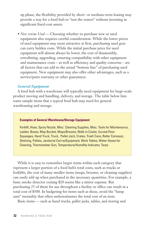up phase, the flexibility provided by short- or medium-term leasing may provide a way for a food hub to "test the waters" without investing in significant fixed-cost assets.

• *New versus Used* — Choosing whether to purchase new or used equipment also requires careful consideration. While the lower prices of used equipment may seem attractive at first, purchasing used gear can carry hidden costs. While the initial purchase price for used equipment will almost always be lower, the cost of disassembly, retrofitting, upgrading, ensuring compatibility with other equipment and maintenance costs – as well as efficiency and quality concerns – are all factors that can add to the actual "bottom line" of purchasing used equipment. New equipment may also offer other advantages, such as a service/parts warranty or other guarantees.

#### *General Equipment*

 A food hub with a warehouse will typically need equipment for large-scale product moving and handling, delivery, and storage. The table below lists some sample items that a typical food hub may need for general warehousing and storage.

#### **Examples of General Warehouse/Storage Equipment**

Forklift, Hose, Spray Nozzle, Misc. Cleaning Supplies, Misc. Tools for Maintenance, Ladder, Boxes, Mop Bucket, Mops/Brooms, Walk-in Cooler, Curved Floor Squeegee, Hand Truck, Truck, Pallet Jack, Crates, Trash Cans, Roller Conveyor, Shelving, Pallets, Janitorial Cart w/Equipment, Work Tables, Water Hoses for Cleaning, Thermometer Gun, Temperature/Humidity Indicator, Tarps

 While it is easy to remember larger items within each category that represent a larger portion of a food hub's total costs, such as trucks or forklifts, the cost of many smaller items (mops, brooms, or cleaning supplies) can easily add up when purchased in the necessary quantities. For example, a basic smoke detector costing \$20 seems like a minor expense. But purchasing 25 of them for use throughout a facility or office can result in a total cost of \$500. In budgeting for items such as these, avoid the "lump sum" mentality that often underestimates the total cost of an item.

Basic items — such as hand trucks, pallet jacks, tables, and storing and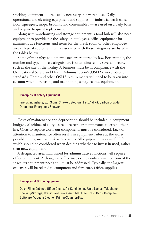stacking equipment — are usually necessary in a warehouse. Daily operational and cleaning equipment and supplies — industrial trash cans, floor squeegees, mops, brooms, and consumables — are used on a daily basis and require frequent replacement.

 Along with warehousing and storage equipment, a food hub will also need equipment to provide for the safety of employees, office equipment for administrative functions, and items for the break room or other employee areas. Typical equipment items associated with these categories are listed in the tables below.

 Some of the safety equipment listed are required by law. For example, the number and type of fire extinguishers is often dictated by several factors, such as the size of the facility. A business must be in compliance with the Occupational Safety and Health Administration's (OSHA) fire-protection standards. These and other OSHA requirements will need to be taken into account when purchasing and maintaining safety-related equipment.

#### **Examples of Safety Equipment**

Fire Extinguishers, Exit Signs, Smoke Detectors, First Aid Kit, Carbon Dioxide Detectors, Emergency Shower

 Costs of maintenance and depreciation should be included in equipment budgets. Machines of all types require regular maintenance to extend their life. Costs to replace worn-out components must be considered. Lack of attention to maintenance often results in equipment failure at the worst possible times, such as peak sales seasons. All equipment has a useful life, which should be considered when deciding whether to invest in used, rather than new, equipment.

 A designated area maintained for administrative functions will require office equipment. Although an office may occupy only a small portion of the space, its equipment needs still must be addressed. Typically, the largest expenses will be related to computers and furniture. Office supplies

#### **Examples of Office Equipment**

Desk, Filing Cabinet, Office Chairs, Air Conditioning Unit, Lamps, Telephone, Shelving/Storage, Credit Card Processing Machine, Trash Cans, Computer, Software, Vacuum Cleaner, Printer/Scanner/Fax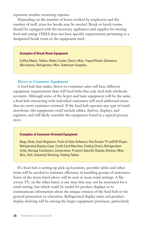represent another recurring expense.

 Depending on the number of hours worked by employees and the number of staff, areas for breaks may be needed. Break or lunch rooms should be equipped with the necessary appliances and supplies for storing food and eating. OSHA does not have specific requirements pertaining to a designated break room or the equipment used.

#### **Examples of Break Room Equipment**

Coffee Maker, Tables, Water Cooler, Chairs, Misc. Paper/Plastic Dishware, Microwave, Refrigerator, Misc. Bathroom Supplies.

#### *Direct-to-Consumer Equipment*

 A food hub that makes direct-to-consumer sales will have different equipment requirements than will food hubs that only deal with wholesale accounts. Although some of the larger and basic equipment will be the same, a food hub interacting with individual customers will need additional items that are more customer-oriented. If the food hub operates any type of retail storefront, this equipment could include tables, shelves, displays, and registers, and will likely resemble the equipment found in a typical grocery store.

#### **Examples of Consumer-Oriented Equipment**

Bags, Desk, Cash Registers, Point-of-Sale Software, Flat Screen TV w/DVD Player, Refrigerated Display Case, Credit Card Machine, Folding Chairs, Refrigeration Units, Storage Containers, Compressor, Product-Specific Display Shelves, Misc. Bins, Sink, Industrial Shelving, Folding Tables

 If a food hub is setting up pick-up locations, portable tables and other items will be needed to maintain efficiency in handling groups of customers. Some of the items listed above will be seen in most retail settings. A flat screen TV, on the other hand, is one item that may not be associated for a retail setting, but which could be useful for product displays or to communicate information about the unique mission of the food hub or for general promotion or education. Refrigerated display units and productdisplay shelving will be among the larger equipment purchases, particularly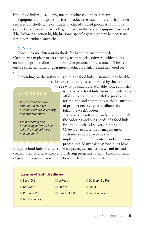if the food hub will sell dairy, meat, or other cold-storage items.

 Equipment and displays for fresh produce are much different than those required for shelf-stable or locally produced canned goods. A food hub's product selection will have a large impact on the type of equipment needed. The following section highlights some specific gear that may be necessary for major product categories.

#### *Software*

 Food hubs use different methods for handling customer orders. Customers can place orders directly, using special software, which helps ensure the proper allocation of available products for customers. This can ensure sufficient time to guarantee product is available and delivered on time.

Depending on the software used by the food hub, customers may be able

### DECISION POINT

Will the food hub use software to manage customer orders, inventory, and other functions?

What ordering and processing software best suits the food hub's size and demand?

to see what products are available. Once an order is placed, the food hub can use an order cutoff date to coordinate with the producers for the hub and communicate the quantities of product necessary to be allocated and fulfill the week's orders.

to browse a dedicated site operated by the food hub

A variety of software can be used to fulfill the ordering and sales needs of a food hub. Programs such as Delivery Biz Pro and CSAware facilitate the management of customer orders as well as the implementation of inventory and allocation procedures. Many existing food hubs have

foregone food hub-oriented software packages, such as these, and instead created their own inventory and ordering programs, usually based on a mix of general ledger software and Microsoft Excel spreadsheets.

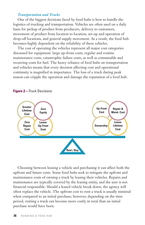#### *Transportation and Trucks*

 One of the biggest decisions faced by food hubs is how to handle the logistics of trucking and transportation. Vehicles are often used on a daily basis for pickup of product from producers, delivery to customers, movement of product from location to location, set-up and operation of drop-off locations, and general supply movement. As a result, the food hub becomes highly dependent on the reliability of these vehicles.

 The cost of operating the vehicles represent all major cost categories discussed for equipment: large up-front costs, regular and routine maintenance costs, catastrophic failure costs, as well as consumable and recurring costs for fuel. The heavy reliance of food hubs on transportation and vehicles means that every decision affecting cost and operational continuity is magnified in importance. The loss of a truck during peak season can cripple the operation and damage the reputation of a food hub.



#### **Figure 2—**Truck Decisions

 Choosing between leasing a vehicle and purchasing it can affect both the upfront and future costs. Some food hubs seek to mitigate the upfront and maintenance costs of owning a truck by leasing their vehicles. Repairs and maintenance are typically covered by the leasing entity, and the user is not financial responsible. Should a leased vehicle break down, the agency will often replace the vehicle. The upfront cost to rent a truck is usually minimal when compared to an initial purchase; however, depending on the time period, renting a truck can become more costly in total than an initial purchase would have been.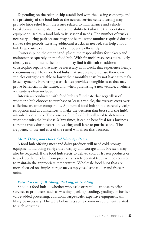Depending on the relationship established with the leasing company, and the proximity of the food hub to the nearest service center, leasing may provide little relief from the issues related to maintenance and vehicle breakdowns. Leasing also provides the ability to tailor the transportation equipment used by a food hub to its seasonal needs. The number of trucks necessary during peak seasons may not be the same number required during slower sales periods. Leasing additional trucks, as needed, can help a food hub keep costs to a minimum yet still operate efficiently.

 Ownership, on the other hand, places the responsibility for upkeep and maintenance squarely on the food hub. With financial resources quite likely already at a minimum, the food hub may find it difficult to address catastrophic repairs that may be necessary with trucks that experience heavy, continuous use. However, food hubs that are able to purchase their own vehicles outright are able to lower their monthly costs by not having to make lease payments. Purchasing a truck also provides a tangible asset that may prove beneficial in the future, and, when purchasing a new vehicle, a vehicle warranty is often included.

 Interviews conducted with food hub staff indicate that regardless of whether a hub chooses to purchase or lease a vehicle, the average costs over a lifetime are often comparable. A potential food hub should carefully weigh its options and circumstances to make the decision that best suits the hub's intended operations. The owners of the food hub will need to determine what best suits the business. Many times, it can be beneficial for a business to rent a truck during start-up, waiting until later to purchase one. The frequency of use and cost of the rental will affect this decision.

#### *Meat, Dairy, and Other Cold-Storage Items*

 A food hub offering meat and dairy products will need cold-storage equipment, including refrigerated display and storage units. Freezers may also be required. If the food hub elects to deliver cold or frozen products or to pick up the product from producers, a refrigerated truck will be required to maintain the appropriate temperature. Wholesale food hubs that are more focused on simple storage may simply use basic cooler and freezer units.

#### *Food Processing, Washing, Packing, or Grading*

 Should a food hub — whether wholesale or retail — choose to offer services to producers, such as washing, packing, cooling, grading, or further value-added processing, additional large-scale, expensive equipment will likely be necessary. The table below lists some common equipment related to such activities.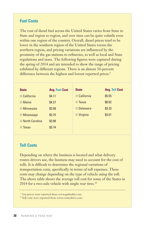## **Fuel Costs**

The cost of diesel fuel across the United States varies from State to State and region to region, and over time can be quite volatile even within one region of the country. Overall, diesel prices tend to be lower in the southern region of the United States versus the northern region, and pricing variations are influenced by the proximity of the gas stations to refineries, as well as local and State regulations and taxes. The following figures were captured during the spring of 2014 and are intended to show the range of pricing exhibited by different regions. There is an almost 30-percent difference between the highest and lowest reported prices.<sup>9</sup>

| <b>State</b>          | <b>Avg. Fuel Cost</b> | <b>State</b>      | <b>Avg. Toll Cost</b> |
|-----------------------|-----------------------|-------------------|-----------------------|
| California            | \$4.11                | <b>California</b> | \$5.55                |
| <b>Maine</b>          | \$4.27                | <b>Texas</b>      | \$0.62                |
| Minnesota             | \$3.99                | <b>Delaware</b>   | \$3.33                |
| <b>Mississippi</b>    | \$3.75                | Virginia          | \$3.01                |
| <b>North Carolina</b> | \$3.98                |                   |                       |
| Texas                 | \$3.74                |                   |                       |

### **Toll Costs**

Depending on where the business is located and what delivery routes drivers use, the business may need to account for the cost of tolls. It is difficult to determine the regional variations of transportation costs, specifically in terms of toll expenses. These costs may change depending on the type of vehicle using the toll. The above table shows the average toll cost for some of the States in 2014 for a two-axle vehicle with single rear tires.<sup>10</sup>

<sup>9</sup> Gas prices were reported from www.gasbuddy.com.

<sup>10</sup>Toll costs were reported from www.costtodrive.com.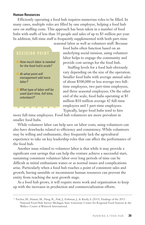#### **Human Resources**

 Efficiently operating a food hub requires numerous roles to be filled. In many cases, multiple roles are filled by one employee, helping a food hub save on staffing costs. This approach has been taken in a number of food hubs with staffs of less than 10 people and sales of up to \$3 million per year. In addition, full-time staff is frequently supplemented with both part-time seasonal labor as well as volunteer staff. Because

## DECISION POINT

How much labor is needed for the food hub's scale?

At what point will management add more labor?

What type of labor will be used (part-time, full-time, volunteer)?

food hubs often function based on an underlying social mission, using volunteer labor helps to engage the community and provide cost savings for the food hub.

Staffing levels for a food hub obviously vary depending on the size of the operation. Smaller food hubs with average annual sales of about \$500,000 or less average two fulltime employees, two part-time employees, and three seasonal employees. On the other end of the scale, food hubs operating at \$5 million-\$10 million average 42 full-time employees and 3 part-time employees.

Typically, larger food hubs tend to hire

more full-time employees. Food hub volunteers are more prevalent in smaller food hubs.

 While volunteer labor can help save on labor costs, using volunteers can also have drawbacks related to efficiency and consistency. While volunteers may be willing and enthusiastic, they frequently lack the agricultural experience to take on key leadership roles that can affect the performance of the food hub.

 Another issue related to volunteer labor is that while it may provide a significant cost savings that can help the venture achieve a successful start, sustaining consistent volunteer labor over long periods of time can be difficult as initial enthusiasm wanes or as normal issues and complications arise. Particularly when a food hub reaches a point of consistent sales and growth, having unstable or inconsistent human resources can prevent the entity from reaching the next growth stage.

 As a food hub grows, it will require more work and organization to keep up with the increases in production and commercialization efforts.

<sup>11</sup> Fischer, M., Hamm, M., Pirog, R., Fisk, J., Farbman, J., & Kiraly, S. (2013). Findings of the 2013 National Food Hub Survey. Michigan State University Center for Regional Food Systems & the Wallace Center at Winrock International.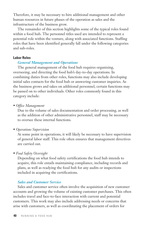Therefore, it may be necessary to hire additional management and other human resources in future phases of the operation as sales and the infrastructure of the business grow.

 The remainder of this section highlights some of the typical roles found within a food hub. The personnel titles used are intended to represent a potential role within the venture, along with associated functions. Staffing roles that have been identified generally fall under the following categories and sub-roles.

#### **Labor Roles**

#### *General Management and Operations*

 The general management of the food hub requires organizing, overseeing, and directing the food hub's day-to-day operations. In combining duties from other roles, functions may also include developing initial sales contacts for the food hub or answering customer inquiries. As the business grows and takes on additional personnel, certain functions may be passed on to other individuals. Other roles commonly found in this category include:

• *Office Management*

 Due to the volume of sales documentation and order processing, as well as the addition of other administrative personnel, staff may be necessary to oversee these internal functions.

• *Operations Supervision*

 At some point in operations, it will likely be necessary to have supervision of general labor staff. This role often ensures that management directives are carried out.

• *Food Safety Oversight*

 Depending on what food safety certifications the food hub intends to acquire, this role entails maintaining compliance, including records and plans, as well as readying the food hub for any audits or inspections included in acquiring the certifications.

#### *Sales and Customer Service*

 Sales and customer service often involve the acquisition of new customer accounts and growing the volume of existing customer purchases. This often includes travel and face-to-face interaction with current and potential customers. This work may also include addressing needs or concerns that arise with customers, as well as coordinating the placement of orders for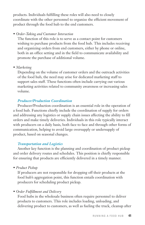products. Individuals fulfilling these roles will also need to closely coordinate with the other personnel to organize the efficient movement of product through the food hub to the end customers.

#### • *Order-Taking and Customer Interaction*

 The function of this role is to serve as a contact point for customers wishing to purchase products from the food hub. This includes receiving and organizing orders from end customers, either by phone or online, both in an office setting and in the field to communicate availability and promote the purchase of additional volume.

• *Marketing*

 Depending on the volume of customer orders and the outreach activities of the food hub, the need may arise for dedicated marketing staff to support sales staff. These functions often include carrying out various marketing activities related to community awareness or increasing sales volume.

## *Producer/Production Coordination*

 Producer/Production coordination is an essential role in the operation of a food hub. Functions chiefly include the coordination of supply for orders and addressing any logistics or supply chain issues affecting the ability to fill orders and make timely deliveries. Individuals in this role typically interact with producers on a daily basis, both face to face and through other forms of communication, helping to avoid large oversupply or undersupply of product, based on seasonal changes.

## *Transportation and Logistics*

 Another key function is the planning and coordination of product pickup and order delivery routes and schedules. This position is chiefly responsible for ensuring that products are efficiently delivered in a timely manner.

• *Product Pickup*

 If producers are not responsible for dropping off their products at the food hub's aggregation point, this function entails coordination with producers for scheduling product pickup.

## • *Order Fulfillment and Delivery*

 Food hubs in the wholesale business often require personnel to deliver products to customers. This role includes loading, unloading, and delivering product to customers, as well as fueling the truck, cleanup after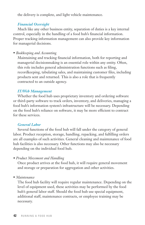the delivery is complete, and light vehicle maintenance.

#### *Financial Oversight*

 Much like any other business entity, separation of duties is a key internal control, especially in the handling of a food hub's financial information. Proper tracking information management can also provide key information for managerial decisions.

• *Bookkeeping and Accounting*

 Maintaining and tracking financial information, both for reporting and managerial decisionmaking is an essential role within any entity. Often, this role includes general administration functions such as filing, recordkeeping, tabulating sales, and maintaining customer files, including products sent and returned. This is also a role that is frequently contracted to an outside agency.

### *IT/Web Management*

 Whether the food hub uses proprietary inventory and ordering software or third-party software to track orders, inventory, and deliveries, managing a food hub's information system's infrastructure will be necessary. Depending on the food hub's reliance on software, it may be more efficient to contract for these services.

#### *General Labor*

 Several functions of the food hub will fall under the category of general labor. Product reception, storage, handling, repacking, and fulfilling orders are all examples of such activities. General cleaning and maintenance of food hub facilities is also necessary. Other functions may also be necessary depending on the individual food hub.

*• Product Movement and Handling*

 Once product arrives at the food hub, it will require general movement and storage or preparation for aggregation and other activities.

• *Maintenance* 

 The food hub facility will require regular maintenance. Depending on the level of equipment used, these activities may be performed by the food hub's general labor staff. Should the food hub use special equipment, additional staff, maintenance contracts, or employee training may be necessary.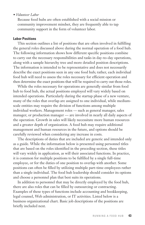#### *• Volunteer Labor*

 Because food hubs are often established with a social mission or community improvement mindset, they are frequently able to tap community support in the form of volunteer labor.

#### **Labor Positions**

 This section outlines a list of positions that are often involved in fulfilling the general roles discussed above during the normal operation of a food hub. The following information shows how different specific positions combine to carry out the necessary responsibilities and tasks in day-to-day operations, along with a sample hierarchy tree and more detailed position descriptions. The information is intended to be representative and does not necessarily describe the exact positions seen in any one food hub; rather, each individual food hub will need to assess the roles necessary for efficient operation and then determine the exact positions that will be required to carry out those roles.

 While the roles necessary for operations are generally similar from food hub to food hub, the actual positions employed will vary widely based on intended operations. Particularly during the startup phase of a new venture, many of the roles that overlap are assigned to one individual, while mediumscale entities may require the division of functions among multiple individual workers. Management roles — such as general manager, sales manager, or production manager — are involved in nearly all daily aspects of the operation. Growth in sales will likely necessitate more human resources and a greater depth of organization. A food hub may require additional management and human resources in the future, and options should be carefully reviewed when considering any increase in costs.

 The descriptions of duties that are included are generic and intended only as a guide. While the information below is presented using personnel titles that are based on the roles identified in the preceding section, these titles will vary widely in application, as will their associated functions. In practice, it is common for multiple positions to be fulfilled by a single full-time employee, or for the duties of one position to overlap with another. Some positions can often be filled by utilizing multiple part-time employees rather than a single individual. The food hub leadership should consider its options and choose a personnel plan that best suits its operations.

 In addition to personnel that may be directly employed by the food hub, there are also roles that can be filled by outsourcing or contracting. Examples of these types of functions include accounting and bookkeeping, legal counsel, Web administration, or IT activities. Listed below is a business organizational chart. Basic job descriptions of the positions are briefly included next.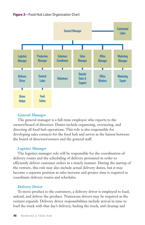



#### *General Manager*

 The general manager is a full-time employee who reports to the owners/board of directors. Duties include organizing, overseeing, and directing all food hub operations. This role is also responsible for developing sales contacts for the food hub and serves as the liaison between the board of directors/owners and the general staff.

#### *Logistics Manager*

 The logistics manager role will be responsible for the coordination of delivery routes and the scheduling of delivery personnel in order to efficiently deliver customer orders in a timely manner. During the startup of the venture, this role may also include actual delivery duties, but it may become a separate position as sales increase and greater time is required to coordinate delivery routes and schedules.

#### *Delivery Driver*

 To move product to the customers, a delivery driver is employed to load, unload, and deliver the produce. Numerous drivers may be required as the venture expands. Delivery driver responsibilities include arrival in time to load the truck with that day's delivery, fueling the truck, and cleanup and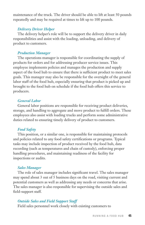maintenance of the truck. The driver should be able to lift at least 50 pounds repeatedly and may be required at times to lift up to 100 pounds.

#### *Delivery Driver Helper*

 The delivery helper's role will be to support the delivery driver in daily responsibilities and assist with the loading, unloading, and delivery of product to customers.

#### *Production Manager*

 The operations manager is responsible for coordinating the supply of products for orders and for addressing producer service issues. This employee implements policies and manages the production and supply aspect of the food hub to ensure that there is sufficient product to meet sales goals. This manager may also be responsible for the oversight of the general labor staff of the food hub, especially ensuring that product is picked up and brought to the food hub on schedule if the food hub offers this service to producers.

#### *General Labor*

 General labor positions are responsible for receiving product deliveries, storage, and handling to aggregate and move product to fulfill orders. These employees also assist with loading trucks and perform some administrative duties related to ensuring timely delivery of product to customers.

#### *Food Safety*

 This position, or a similar one, is responsible for maintaining protocols and policies related to any food safety certifications or programs. Typical tasks may include inspection of product received by the food hub, data recording (such as temperatures and chain of custody), enforcing proper handling procedures, and maintaining readiness of the facility for inspections or audits.

#### *Sales Manager*

 The role of sales manager includes significant travel. The sales manager may spend about 3 out of 5 business days on the road, visiting current and potential customers as well as addressing any needs or concerns that arise. The sales manager is also responsible for supervising the outside sales and field-support staff.

#### *Outside Sales and Field Support Staff*

Field sales personnel work closely with existing customers to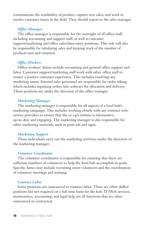communicate the availability of product, capture new sales, and work to resolve customer issues in the field. They should report to the sales manager.

#### *Office Manager*

 The office manager is responsible for the oversight of all office staff, including accounting and support staff, as well as customer support/marketing and office sales/data-entry positions. This role will also be responsible for tabulating sales and keeping track of the number of products sent and returned.

#### *Office Workers*

 Office workers' duties include accounting and general office support and labor. Customer support/marketing staff work with other office staff to ensure a positive customer experience. This includes resolving any marketing issues. Internal sales personnel are responsible for order taking, which includes inputting orders into software for allocation and delivery. These positions are under the direction of the office manager.

#### *Marketing Manager*

 The marketing manager is responsible for all aspects of a food hub's marketing campaign. This includes working closely with any contract webservice providers to ensure that the co-op's website is informative, up-to-date and engaging. The marketing manager is also responsible for other marketing materials, such as print ads and signs.

#### *Marketing Support*

 These individuals carry out the marketing activities under the direction of the marketing manager.

#### *Volunteer Coordinator*

 The volunteer coordinator is responsible for ensuring that there are sufficient numbers of volunteers to help the food hub accomplish its goals. Specific duties may include recruiting more volunteers and the coordination of volunteer meetings and training.

#### *Contract Labor*

 Some positions are outsourced to contract labor. These are often skilled positions but not required on a full-time basis for the hub. IT/Web services, maintenance, accounting, and legal help are all functions that are often outsourced or contracted.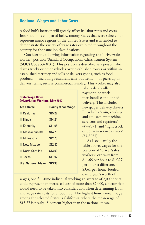## **Regional Wages and Labor Costs**

A food hub's location will greatly affect its labor rates and costs. Information is compared below among States that were selected to represent major regions of the United States and is intended to demonstrate the variety of wage rates exhibited throughout the country for the same job classifications.

 Consider the following information regarding the "driver/sales worker" position (Standard Occupational Classification System (SOC) Code 53-3031). This position is described as a person who drives trucks or other vehicles over established routes or within an established territory and sells or delivers goods, such as food products — including restaurant take-out items — or picks up or delivers items, such as commercial laundry. This worker may also

#### **State Wage Rates: Driver/Sales Workers, May 2012**

| <b>Area Name</b>          | <b>Hourly Mean Wage</b> |
|---------------------------|-------------------------|
| California                | \$15.27                 |
| <b>Illinois</b>           | \$14.24                 |
| Kentucky                  | \$11.66                 |
| <b>Massachusetts</b>      | \$14.79                 |
| Minnesota                 | \$12.76                 |
| New Mexico                | \$12.80                 |
| North Carolina            | \$13.09                 |
| Texas                     | \$11.97                 |
| <b>U.S. National Mean</b> | \$13.33                 |

take orders, collect payment, or stock merchandise at point of delivery. This includes newspaper delivery drivers. It excludes "coin, vending, and amusement machine servicers and repairers" (49-9091) and "light truck or delivery service drivers" (53-3033).

As is evident by the table above, wages for the position of "driver/sales workers" can vary from \$11.66 per hour to \$15.27 per hour, a difference of \$3.61 per hour. Totaled over a year's worth of

wages, one full-time individual working an average of 2,000 hours could represent an increased cost of more than \$7,000, a factor that would need to be taken into consideration when determining labor and wage rate costs for a food hub. The highest hourly mean wage among the selected States is California, where the mean wage of \$15.27 is nearly 15 percent higher than the national mean.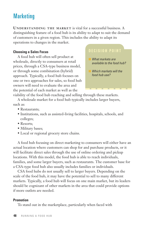# **Marketing**

**UNDERSTANDING THE MARKET** is vital for a successful business. A distinguishing feature of a food hub is its ability to adapt to suit the demand of customers in a given region. This includes the ability to adapt its operations to changes in the market.

#### **Choosing a Sales Focus**

 A food hub will often sell product at wholesale, directly to consumers at retail prices, through a CSA-type business model, or through some combination (hybrid) approach. Typically, a food hub focuses on one or two approaches for sales, so food hub owners will need to evaluate the area and the potential of each market as well as the

## DECISION POINT

- What markets are available to the food hub?
- Which markets will the food hub use?

viability of the food hub reaching and selling through these markets.

 A wholesale market for a food hub typically includes larger buyers, such as:

- Restaurants;
- Institutions, such as assisted-living facilities, hospitals, schools, and colleges;
- Resorts:
- Military bases;
- Local or regional grocery store chains.

 A food hub focusing on direct marketing to consumers will either have an actual location where customers can shop for and purchase products, or it will facilitate direct sales through the use of online ordering and pickup locations. With this model, the food hub is able to reach individuals, families, and some larger buyers, such as restaurants. The customer base for a CSA-type food hub also usually includes families or individuals.

 CSA food hubs do not usually sell to larger buyers. Depending on the scale of the food hub, it may have the potential to sell to many different markets. Typically, a food hub will focus on one main market, but its leaders should be cognizant of other markets in the area that could provide options if more outlets are needed.

#### **Promotion**

To stand out in the marketplace, particularly when faced with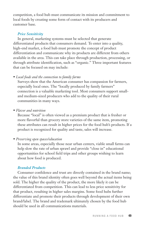competition, a food hub must communicate its mission and commitment to local foods by creating some form of contact with its producers and customer base.

## *Price Sensitivity*

 In general, marketing systems must be selected that generate differentiated products that consumers demand. To enter into a quality, high-end market, a food hub must promote the concept of product differentiation and communicate why its products are different from others available in the area. This can take place through production, processing, or through attribute identification, such as "organic." Three important features that can be focused on may include:

### • *Local foods and the connection to family farms*

Surveys show that the American consumer has compassion for farmers, especially local ones. The "locally produced by family farmers" connection is a valuable marketing tool. Most consumers support smalland medium-sized producers who add to the quality of their rural communities in many ways.

• *Flavor and nutrition*

Because "local" is often viewed as a premium product that is fresher or more flavorful than grocery store varieties of the same item, promoting these attributes can result in higher prices for the food hub's products. If a product is recognized for quality and taste, sales will increase.

## • *Preserving open spaces/education*

 In some areas, especially those near urban centers, viable small farms can help slow the rate of urban sprawl and provide "close in" educational opportunities for school field trips and other groups wishing to learn about how food is produced.

## *Branded Products*

 Consumer confidence and trust are directly contained in the brand name; the value of this brand identity often goes well beyond the actual items being sold. The higher the quality of the product, the more likely it can be differentiated from competition. This can lead to less price sensitivity for that product, resulting in higher sales margins. Some food hubs further differentiate and promote their products through development of their own brand/label. The brand and trademark ultimately chosen by the food hub should be used in all communications materials.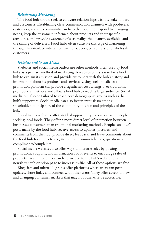#### *Relationship Marketing*

The food hub should seek to cultivate relationships with its stakeholders and customers. Establishing clear communication channels with producers, customers, and the community can help the food hub respond to changing needs, keep the customers informed about products and their specific attributes, and provide awareness of seasonality, the quantity available, and the timing of deliveries. Food hubs often cultivate this type of marketing through face-to-face interaction with producers, consumers, and wholesale customers.

#### *Websites and Social Media*

Websites and social media outlets are other methods often used by food hubs as a primary method of marketing. A website offers a way for a food hub to explain its mission and provide customers with the hub's history and information about its products and services. Using social media as a promotion platform can provide a significant cost savings over traditional promotional methods and allow a food hub to reach a large audience. Social media can also be tailored to reach core demographic groups such as the hub's supporters. Social media can also foster enthusiasm among stakeholders to help spread the community mission and principles of the hub.

 Social media websites offer an ideal opportunity to connect with people seeking local foods. They offer a more direct level of interaction between businesses consumers than traditional marketing methods. People can "like" posts made by the food hub; receive access to updates, pictures, and comments from the hub; provide direct feedback; and leave comments about the food hub for others to see, including recommendations, questions, or compliments/complaints.

 Social media websites also offer ways to increase sales by posting promotions, coupons, and information about events to encourage sales of products. In addition, links can be provided to the hub's website or a newsletter subscription page to increase traffic. All of these options are free.

 Blog sites and micro-blog sites offer platforms where users can post updates, share links, and connect with other users. They offer access to new and changing consumer markets that may not otherwise be accessible.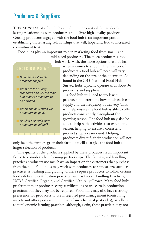# Producers & Suppliers

**THE SUCCESS** of a food hub can often hinge on its ability to develop lasting relationships with producers and deliver high-quality products. Getting producers engaged with the food hub is an important part of establishing those lasting relationships that will, hopefully, lead to increased commitment to it.

Food hubs play an important role in marketing food from small- and



when it comes to supply. The number of producers a food hub will need will vary depending on the size of the operation. As found in the 2013 National Food Hub Survey, hubs typically operate with about 36 producers and suppliers.

A food hub will need to work with producers to determine how much each can supply and the frequency of delivery. This will help ensure the food hub is able to offer products consistently throughout the growing season. The food hub may also be able to help with activities that extend the season, helping to ensure a consistent product supply year-round. Helping producers diversify their production will not

only help the farmers grow their farm, but will also give the food hub a larger selection of products.

 The quality of the products supplied by these producers is an important factor to consider when forming partnerships. The farming and handling practices producers use may have an impact on the customers that purchase from the hub. Food hubs may work with producers to standardize such basic practices as washing and grading. Others require producers to follow certain food safety and certification practices, such as Good Handling Practices, USDA Certified Organic, and Certified Naturally Grown. Many food hubs prefer that their producers carry certifications or use certain production practices, but they may not be required. Food hubs may also have a strong preference for producers to use integrated pest management (controlling insects and other pests with minimal, if any, chemical pesticides), or adhere to total organic farming practices, although, again, these practices may not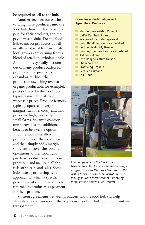be required to sell to the hub.

 Another key decision is when to bring more producers into the food hub, how much they will be paid for their products, and the payment schedule. For the food hub to attract producers, it will usually need to at least meet what local growers are earning from a blend of retail and wholesale sales. A food hub is typically just one out of many product outlets for producers. For producers to expand or re-direct their production (switching over to organic production, for example), prices offered by the food hub typically must at least meet wholesale prices. Produce farmers typically operate on very slim margins. Labor is costly and land prices are high, especially for small farms. So, any expansion must provide some additional benefit to be a viable option.

 Some food hubs allow producers to set their own price and then simply add a margin sufficient to cover the food hub operations. Other food hubs purchase product outright from producers and maintain all the risks of storage and sales. Some hubs take a partnership-type approach, in which a specific percentage of revenue is set to be returned to producers as payment for their product.

#### **Examples of Certifications and Agricultural Practices**

- Marine Stewardship Council
- **No USDA Certified Organic**
- Integrated Pest Management
- Good Handling Practices Certified
- **n** Certified Naturally Grown
- **n** Good Agricultural Practices Certified
- **n** Antibiotic-Free
- **Free Range/Pasture Raised**
- **n** Chemical Free
- **Practicing Organic**
- **n** Certified Humane
- **n** Fair Trade



Loading pallets on the back of a Greenmarket Co. truck. Greenmarket Co., a program of GrowNYC, was launched in 2012 with a focus on wholesale distribution of locally sourced farm products. Photo by Vitaly Piltser, courtesy of GrowNYC.

 Written agreements between producers and the food hub can help alleviate any confusion over the requirements of the hub and help maintain transparency.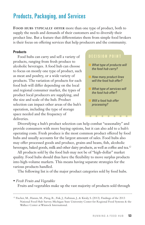# Products, Packaging, and Services

**FOOD HUBS TYPICALLY OFFER** more than one type of product, both to supply the needs and demands of their customers and to diversify their product line. But a feature that differentiates them from simple food brokers is their focus on offering services that help producers and the community.

#### **Products**

 Food hubs can carry and sell a variety of products, ranging from fresh produce to alcoholic beverages. A food hub can choose to focus on mostly one type of product, such as meat and poultry, or a wide variety of products. The variation of products for each food hub will differ depending on the local and regional consumer market, the types of product local producers are supplying, and the size and scale of the hub. Product selection can impact other areas of the hub's operation, including the type of storage space needed and the frequency of deliveries.

## DECISION POINT

- What type of products will the food hub carry?
- How many product lines will the food hub offer?
- What type of services will the food hub offer?
- Will a food hub offer processing?

 Diversifying a hub's product selection can help combat "seasonality" and provide consumers with more buying options, but it can also add to a hub's operating costs. Fresh produce is the most common product offered by food hubs and usually accounts for the largest amount of sales. Food hubs also may offer processed goods and produce, grains and beans, fish, alcoholic beverages, baked goods, milk and other dairy products, as well as coffee and tea.<sup>12</sup>

 All products sold by the food hub may not be of "high-dollar" market quality. Food hubs should thus have the flexibility to move surplus products into high-volume markets. This means having separate strategies for the various products handled.

The following list is of the major product categories sold by food hubs.

• *Fresh Fruits and Vegetables*

Fruits and vegetables make up the vast majority of products sold through

<sup>12</sup> Fischer, M., Hamm, M., Pirog, R., Fisk, J., Farbman, J., & Kiraly, S. (2013). Findings of the 2013 National Food Hub Survey. Michigan State University Center for Regional Food Systems & the Wallace Center at Winrock International.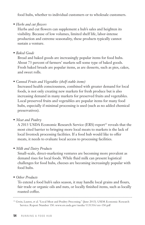food hubs, whether to individual customers or to wholesale customers.

• *Herbs and cut flowers*

 Herbs and cut flowers can supplement a hub's sales and heighten its visibility. Because of low volumes, limited shelf life, labor-intense production and extreme seasonality, these products typically cannot sustain a venture.

• *Baked Goods*

 Bread and baked goods are increasingly popular items for food hubs. About 73 percent of farmers' markets sell some type of baked goods. Fresh baked breads are popular items, as are desserts, such as pies, cakes, and sweet rolls.

• *Canned Fruits and Vegetables (shelf-stable items)*

 Increased health consciousness, combined with greater demand for local foods, is not only creating new markets for fresh produce but is also increasing demand in many markets for preserved fruits and vegetables. Local preserved fruits and vegetables are popular items for many food hubs, especially if minimal processing is used (such as no added chemical preservatives).

• *Meat and Poultry*

A 2013 USDA Economic Research Service (ERS) report<sup>13</sup> reveals that the most cited barrier to bringing more local meats to markets is the lack of local livestock processing facilities. If a food hub would like to offer meats, it needs to evaluate local access to processing facilities.

• *Milk and Dairy Products*

 Small-scale, direct-marketing ventures are becoming more prevalent as demand rises for local foods. While fluid milk can present logistical challenges for food hubs, cheeses are becoming increasingly popular with food hubs.

• *Other Products*

 To extend a food hub's sales season, it may handle local grains and flours, fair trade or organic oils and nuts, or locally finished items, such as locally roasted coffee.

<sup>13</sup> Gwin, Lauren, et al. "Local Meat and Poultry Processing." (June 2013). USDA Economic Research Service. Report Number 150. www.ers.usda.gov/media/1131316/err-150.pdf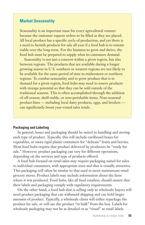## **Market Seasonality**

Seasonality is an important issue for every agricultural venture because the customer expects orders to be filled as they are placed. All local produce has a specific cycle of production, and yet there is a need to furnish products for sale all year if a food hub is to remain viable over the long term. For the business to grow and thrive, the food hub must be prepared to supply what its customers demand.

 Seasonality is not just a concern within a given region, but also between regions. The products that are available during a longer growing season in U.S. southern or western regions are not likely to be available for the same period of time in midwestern or northern regions. To combat seasonality and to grow produce that is in demand for a given region, food hubs may need to source products with storage potential so that they can be sold outside of the traditional seasons. This is often accomplished through the addition of off-season, shelf-stable, or non-perishable items. Non-seasonal product lines — including local dairy products, eggs, and broilers can significantly boost year-round sales totals.

#### **Packaging and Labeling**

 In general, boxes and packaging should be suited to handling and storing each type of product. Typically, this will include cardboard boxes for vegetables, or more rigid plastic containers for "delicate" fruits and berries. Most food hubs require that product delivered by producers be "ready for sale." However, product packaging can vary for different operations, depending on the services and type of products offered.

 A food hub focused on retail sales may require packaging suited for sales to individual consumers, with appropriate sizes and that is visually attractive. This packaging will often be similar to that used in more mainstream retail grocery stores. Product labels may include information about the farm where it was produced. Food hubs, like all food retailers, should ensure that their labels and packaging comply with regulatory requirements.

 On the other hand, a food hub that is selling only to wholesale buyers will need product packaging that can withstand shipping and can hold larger amounts of product. Typically, a wholesale client will either repackage the product for sale, or will use the product "in bulk" from the box. Labels for wholesale packaging may not be as detailed or as "visual" as retail labels.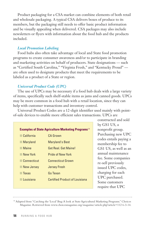Product packaging for a CSA market can combine elements of both retail and wholesale packaging. A typical CSA delivers boxes of produce to its members, but the packaging still needs to offer basic product information and be visually appealing when delivered. CSA packages may also include newsletters or flyers with information about the food hub and the products included.

#### *Local Promotion Labeling*

 Food hubs also often take advantage of local and State food promotion programs to create consumer awareness and/or to participate in branding and marketing activities on behalf of producers. State designations — such as "Certified South Carolina," "Virginia Fresh," and "Kentucky Proud" are often used to designate products that meet the requirements to be labeled as a product of a State or region.

#### *Universal Product Code (UPC)*

 The use of UPCs may be necessary if a food hub deals with a large variety of items, specifically such shelf-stable items as jams and canned goods. UPCs may be more common in a food hub with a retail location, since they can help with customer transactions and inventory control.

 Universal Product Codes are a 12-digit identifier used mainly with pointof-sale devices to enable more efficient sales transactions. UPCs are

| <b>Examples of State Agriculture Marketing Programs</b> <sup>14</sup> |                                |  |  |
|-----------------------------------------------------------------------|--------------------------------|--|--|
| California                                                            | CA Grown                       |  |  |
| Maryland                                                              | <b>Maryland's Best</b>         |  |  |
| <b>Maine</b>                                                          | Get Real, Get Maine!           |  |  |
| New York                                                              | <b>Pride of New York</b>       |  |  |
| Connecticut                                                           | <b>Connecticut Grown</b>       |  |  |
| New Jersey                                                            | <b>Jersey Fresh</b>            |  |  |
| Texas                                                                 | Go Texan                       |  |  |
| Louisiana                                                             | Certified Product of Louisiana |  |  |

constructed and sold by GS1 US, a nonprofit group. Purchasing new UPC codes entails paying a membership fee to GS1 US, as well as an annual maintenance fee. Some companies re-sell previously issued UPC codes, charging for each UPC purchased. Some customers require that UPC

<sup>14</sup> Adapted from "Catching the 'Local' Bug: A look at State Agricultural Marketing Programs." Choices Magazine. Retrieved from www.choicesmagazine.org/magazine/article.php?article=112 6-3-14.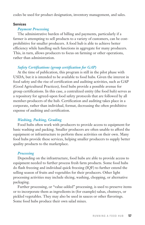codes be used for product designation, inventory management, and sales.

#### **Services**

#### *Payment Processing*

 The administrative burden of billing and payments, particularly if a farmer is attempting to sell products to a variety of customers, can be costprohibitive for smaller producers. A food hub is able to achieve better efficiency while handling such functions in aggregate for many producers. This, in turn, allows producers to focus on farming or other operations, rather than administration.

#### *Safety Certifications (group certification for GAP)*

 At the time of publication, this program is still in the pilot phase with USDA, but it is intended to be available to food hubs. Given the interest in food safety and the rise of certification and auditing activities, such as GAP (Good Agricultural Practices), food hubs provide a possible avenue for group certifications. In this case, a centralized entity (the food hub) serves as a repository for agreed-upon food safety protocols that are followed by all member-producers of the hub. Certification and auditing takes place in a corporate, rather than individual, format, decreasing the often prohibitive expense of auditing and certification.

#### *Washing, Packing, Grading*

 Food hubs often work with producers to provide access to equipment for basic washing and packing. Smaller producers are often unable to afford the equipment or infrastructure to perform these activities on their own. Many food hubs provide these services, helping smaller producers to supply better quality products to the marketplace.

#### *Processing*

 Depending on the infrastructure, food hubs are able to provide access to equipment needed to further process fresh farm products. Some food hubs do flash freezing and individual quick freezing (IQF) to further extend the selling season of fruits and vegetables for their producers. Other light processing activities may include slicing, washing, chopping, or alternative packaging.

 Further processing, or "value-added" processing, is used to preserve items or to incorporate them as ingredients in (for example) salsas, chutneys, or pickled vegetables. They may also be used in sauces or other flavorings. Some food hubs produce their own salad mixes.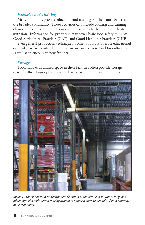#### *Education and Training*

 Many food hubs provide education and training for their members and the broader community. These activities can include cooking and canning classes and recipes in the hub's newsletter or website that highlight healthy nutrition. Information for producers may cover basic food safety training, Good Agricultural Practices (GAP), and Good Handling Practices (GHP) — even general production techniques. Some food hubs operate educational or incubator farms intended to increase urban access to land for cultivation as well as to encourage new farmers.

#### *Storage*

 Food hubs with unused space in their facilities often provide storage space for their larger producers, or lease space to other agricultural entities.



Inside La Montanita's Co-op Distribution Center in Albuquerque, NM, where they take advantage of a multi-tiered racking system to optimize storage capacity. Photo courtesy of La Montanita.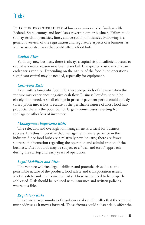## Risks

**IT IS THE RESPONSIBILITY** of business owners to be familiar with Federal, State, county, and local laws governing their business. Failure to do so may result in penalties, fines, and cessation of business. Following is a general overview of the registration and regulatory aspects of a business, as well as associated risks that could affect a food hub.

#### *Capital Risks*

 With any new business, there is always a capital risk. Insufficient access to capital is a major reason new businesses fail. Unexpected cost overruns can endanger a venture. Depending on the nature of the food hub's operations, significant capital may be needed, especially for equipment.

#### *Cash-Flow Risks*

 Even with a for-profit food hub, there are periods of the year when the venture may experience negative cash flow. Business liquidity should be closely monitored. A small change in price or payment period could quickly turn a profit into a loss. Because of the perishable nature of most food hub products, there is the potential for large revenue losses resulting from spoilage or other loss of inventory.

#### *Management Experience Risks*

 The selection and oversight of management is critical for business success. It is thus imperative that management have experience in the industry. Since food hubs are a relatively new industry, there are fewer sources of information regarding the operation and administration of the business. The food hub may be subject to a "trial and error" approach during the startup and early years of operation.

#### *Legal Liabilities and Risks*

 The venture will face legal liabilities and potential risks due to the perishable nature of the product, food safety and transportation issues, worker safety, and environmental risks. These issues need to be properly addressed. Risk should be reduced with insurance and written policies, where possible.

#### *Regulatory Risks*

 There are a large number of regulatory risks and hurdles that the venture must address as it moves forward. These factors could substantially affect the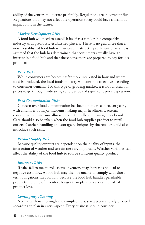ability of the venture to operate profitably. Regulations are in constant flux. Regulations that may not affect the operation today could have a dramatic impact on it in the future.

#### *Market Development Risks*

 A food hub will need to establish itself as a vendor in a competitive industry with previously established players. There is no guarantee that a newly established food hub will succeed in attracting sufficient buyers. It is assumed that the hub has determined that consumers actually have an interest in a food hub and that these consumers are prepared to pay for local products.

#### *Price Risks*

 While consumers are becoming far more interested in how and where food is produced, the local foods industry will continue to evolve according to consumer demand. For this type of growing market, it is not unusual for prices to go through wide swings and periods of significant price depression.

#### *Food Contamination Risks*

 Concern over food contamination has been on the rise in recent years, with a number of major incidents making major headlines. Bacterial contamination can cause illness, product recalls, and damage to a brand. Care should also be taken when the food hub supplies product to retail outlets. Careless handling and storage techniques by the retailer could also introduce such risks.

#### *Product Supply Risks*

 Because quality outputs are dependent on the quality of inputs, the interaction of weather and terrain are very important. Weather variables can affect the ability of the food hub to source sufficient quality product.

#### *Inventory Risks*

 If sales fail to meet projections, inventory may increase and lead to negative cash flow. A food hub may then be unable to comply with shortterm obligations. In addition, because the food hub handles perishable products, holding of inventory longer than planned carries the risk of product loss.

#### *Contingency Planning*

 No matter how thorough and complete it is, startup plans rarely proceed according to plan in every aspect. Every business should consider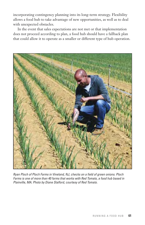incorporating contingency planning into its long-term strategy. Flexibility allows a food hub to take advantage of new opportunities, as well as to deal with unexpected obstacles.

 In the event that sales expectations are not met or that implementation does not proceed according to plan, a food hub should have a fallback plan that could allow it to operate as a smaller or different type of hub operation.



Ryan Ploch of Ploch Farms in Vineland, NJ, checks on a field of green onions. Ploch Farms is one of more than 40 farms that works with Red Tomato, a food hub based in Plainville, MA. Photo by Diane Stalford, courtesy of Red Tomato.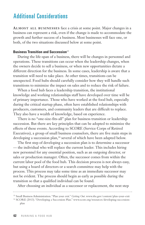# Additional Considerations

**ALMOST ALL BUSINESSES** face a crisis at some point. Major changes in a business can represent a risk, even if the change is made to accommodate the growth and further success of a business. Most businesses will face one, or both, of the two situations discussed below at some point.

#### **Business Transition and Succession**<sup>15</sup>

 During the life-span of a business, there will be changes in personnel and operations. These transitions can occur when the leadership changes, when the owners decide to sell a business, or when new opportunities dictate a different direction for the business. In some cases, leadership is aware that a transition will need to take place. At other times, transitions can be unexpected. Food hubs should carefully consider how they will handle such transitions to minimize the impact on sales and to reduce the risk of failure.

 When a food hub faces a leadership transition, the institutional knowledge and working relationships staff have developed over time will be of primary importance. Those who have worked at the food hub, especially during the critical startup phase, often have established relationships with producers, customers, and community leaders that are difficult to replace. They also have a wealth of knowledge, based on experience.

 There is no "one-size-fits-all" plan for business transition or leadership succession. But there are key principles that can be adopted to minimize the effects of these events. According to SCORE (Service Corps of Retired Executives), a group of small business counselors, there are five main steps in developing a succession plan,<sup>16</sup> several of which have been adapted below.

 The first step of developing a succession plan is to determine a successor — the individual who will replace the current leader. This includes hiring new personnel for any essential position, such as an outgoing director, or sales or production manager. Often, the successor comes from within the current labor pool of the food hub. This decision process is not always easy, but using a board of directors or a search committee may help with the process. This process may take some time as an immediate successor may not be evident. The process should begin as early as possible during the transition so that a qualified individual can be found.

After choosing an individual as a successor or replacement, the next step

plan

<sup>15</sup> Small Business Administration. "Plan your exit." *Getting Out*. www.sba.gov/content/plan-your-exit <sup>16</sup> SCORE (2013). "Developing a Succession Plan." www.score.org/resources/developing-succession-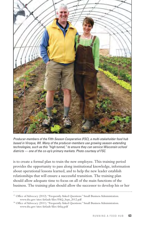

Producer-members of the Fifth Season Cooperative (FSC), a multi-stakeholder food hub based in Viroqua, WI. Many of the producer-members use growing season-extending technologies, such as this "high tunnel," to ensure they can service Wisconsin school districts — one of the co-op's primary markets. Photo courtesy of FSC.

is to create a formal plan to train the new employee. This training period provides the opportunity to pass along institutional knowledge, information about operational lessons learned, and to help the new leader establish relationships that will ensure a successful transition. The training plan should allow adequate time to focus on all of the main functions of the business. The training plan should allow the successor to develop his or her

<sup>&</sup>lt;sup>17</sup> Office of Advocacy (2012). "Frequently Asked Questions." Small Business Administration. www.sba.gov/sites/default/files/FAQ\_Sept\_2012.pdf

<sup>&</sup>lt;sup>18</sup> Office of Advocacy (2011). "Frequently Asked Questions." Small Business Administration. www.sba.gov/sites/default/files/sbfaq.pdf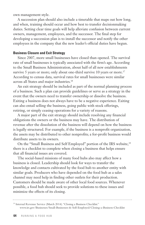own management style.

 A succession plan should also include a timetable that maps out how long, and when, training should occur and how best to transfer decisionmaking duties. Setting clear time goals will help alleviate confusion between current owners, management, employees, and the successor. The final step for developing a succession plan is to install the successor and notify the other employees in the company that the new leader's official duties have begun.

#### **Business Closure and Exit Strategy**

 Since 2007, more small businesses have closed than opened. The survival rate of small businesses is typically associated with the firm's age. According to the Small Business Administration, about half of all new establishments survive 5 years or more; only about one-third survive 10 years or more.<sup>17</sup> According to census data, survival rates for small businesses were similar across all States and major industries.18

 An exit strategy should be included as part of the normal planning process of a business. Such a plan can provide guidelines or serve as a strategy in the event that the owners need to transfer ownership or dissolve the business. Exiting a business does not always have to be a negative experience. Exiting can also entail selling the business, going public with stock offerings, retiring, or simply ceasing operations for a variety of reasons.

 A major part of the exit strategy should include resolving any financial obligations the owners or the business may have. The distribution of revenue after the dissolution of the business will depend on how the business is legally structured. For example, if the business is a nonprofit organization, the assets may be distributed to other nonprofits; a for-profit business would distribute assets to its owners.

On the "Small Business and Self Employed" portion of the IRS website,<sup>19</sup> there is a checklist to complete when closing a business that helps ensure that all financial issues are covered.

 The social-based missions of many food hubs also may affect how a business is closed. Leadership should look for ways to transfer the knowledge and contacts cultivated by the food hub to another entity with similar goals. Producers who have depended on the food hub as a sales channel may need help in finding other outlets for their production. Customers should be made aware of other local food sources. Whenever possible, a food hub should seek to provide solutions to these issues and minimize the effects of its closing.

<sup>&</sup>lt;sup>19</sup> Internal Revenue Service (March 2014). "Closing a Business Checklist." www.irs.gov/Businesses/Small-Businesses-&-Self-Employed/Closing-a-Business-Checklist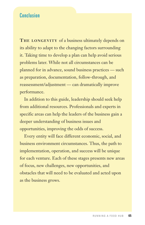## Conclusion

**THE LONGEVITY** of a business ultimately depends on its ability to adapt to the changing factors surrounding it. Taking time to develop a plan can help avoid serious problems later. While not all circumstances can be planned for in advance, sound business practices — such as preparation, documentation, follow-through, and reassessment/adjustment — can dramatically improve performance.

 In addition to this guide, leadership should seek help from additional resources. Professionals and experts in specific areas can help the leaders of the business gain a deeper understanding of business issues and opportunities, improving the odds of success.

 Every entity will face different economic, social, and business environment circumstances. Thus, the path to implementation, operation, and success will be unique for each venture. Each of these stages presents new areas of focus, new challenges, new opportunities, and obstacles that will need to be evaluated and acted upon as the business grows.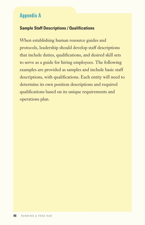## Appendix A

## **Sample Staff Descriptions / Qualifications**

When establishing human resource guides and protocols, leadership should develop staff descriptions that include duties, qualifications, and desired skill sets to serve as a guide for hiring employees. The following examples are provided as samples and include basic staff descriptions, with qualifications. Each entity will need to determine its own position descriptions and required qualifications based on its unique requirements and operations plan.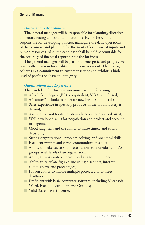#### **General Manager**

#### *Duties and responsibilities:*

 The general manager will be responsible for planning, directing, and coordinating all food hub operations. He or she will be responsible for developing policies, managing the daily operations of the business, and planning for the most efficient use of inputs and human resources. Also, the candidate shall be held accountable for the accuracy of financial reporting for the business.

 The general manager will be part of an energetic and progressive team with a passion for quality and the environment. The manager believes in a commitment to customer service and exhibits a high level of professionalism and integrity.

#### *Qualifications and Experience:*

The candidate for this position must have the following:

- $\Box$  A bachelor's degree (BA) or equivalent; MBA is preferred;
- n A "hunter" attitude to generate new business and leads;
- $\Box$  Sales experience in specialty products in the food industry is desired;
- n Agricultural and food-industry-related experience is desired;
- $\blacksquare$  Well-developed skills for negotiation and project and account management;
- Good judgment and the ability to make timely and sound decisions;
- Strong organizational, problem-solving, and analytical skills;
- $\blacksquare$  Excellent written and verbal communication skills:
- $\blacksquare$  Ability to make successful presentations to individuals and/or groups at all levels of an organization;
- $\Box$  Ability to work independently and as a team member;
- $\blacksquare$  Ability to calculate figures, including discounts, interest, commissions, and percentages;
- n Proven ability to handle multiple projects and to meet deadlines;
- n Proficient with basic computer software, including Microsoft Word, Excel, PowerPoint, and Outlook;
- n Valid State driver's license.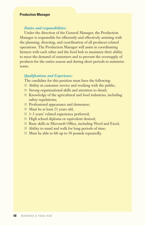#### **Production Manager**

#### *Duties and responsibilities:*

 Under the direction of the General Manager, the Production Manager is responsible for efficiently and effectively assisting with the planning, directing, and coordination of all producer-related operations. The Production Manager will assist in coordinating farmers with each other and the food hub to maximize their ability to meet the demand of customers and to prevent the oversupply of products for the entire season and during short periods to minimize waste.

#### *Qualifications and Experience:*

The candidate for this position must have the following:

- $\blacksquare$  Ability in customer service and working with the public;
- $\Box$  Strong organizational skills and attention to detail;
- $\blacksquare$  Knowledge of the agricultural and food industries, including safety regulations;
- **n** Professional appearance and demeanor;
- $\blacksquare$  Must be at least 21 years old;
- 3–5 years' related experience preferred;
- High school diploma or equivalent desired;
- Basic skills in Microsoft Office, including Word and Excel;
- $\Box$  Ability to stand and walk for long periods of time;
- $\blacksquare$  Must be able to lift up to 50 pounds repeatedly.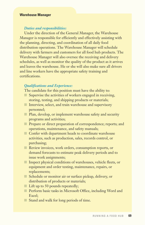#### **Warehouse Manager**

#### *Duties and responsibilities:*

 Under the direction of the General Manager, the Warehouse Manager is responsible for efficiently and effectively assisting with the planning, directing, and coordination of all daily food distribution operations. The Warehouse Manager will schedule delivery with farmers and customers for all food hub products. The Warehouse Manager will also oversee the receiving and delivery schedules, as well as monitor the quality of the product as it arrives and leaves the warehouse. He or she will also make sure all drivers and line workers have the appropriate safety training and certifications.

#### *Qualifications and Experience:*

The candidate for this position must have the ability to:

- $\Box$  Supervise the activities of workers engaged in receiving, storing, testing, and shipping products or materials;
- $\blacksquare$  Interview, select, and train warehouse and supervisory personnel;
- **n** Plan, develop, or implement warehouse safety and security programs and activities;
- **n** Prepare or direct preparation of correspondence; reports; and operations, maintenance, and safety manuals;
- **n** Confer with department heads to coordinate warehouse activities, such as production, sales, records control, or purchasing;
- **n** Review invoices, work orders, consumption reports, or demand forecasts to estimate peak delivery periods and to issue work assignments;
- **n** Inspect physical conditions of warehouses, vehicle fleets, or equipment and order testing, maintenance, repairs, or replacements;
- schedule or monitor air or surface pickup, delivery, or distribution of products or materials;
- $\blacksquare$  Lift up to 50 pounds repeatedly;
- n Perform basic tasks in Microsoft Office, including Word and Excel;
- Stand and walk for long periods of time.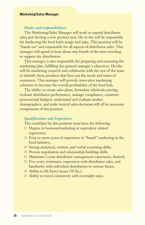#### **Marketing/Sales Manager**

#### *Duties and responsibilities:*

 The Marketing/Sales Manager will work to expand distributor sales and develop a new product area. He or she will be responsible for furthering the food hub's image and sales. This position will be "hands-on" and responsible for all aspects of distributor sales. This manager will spend at least about one-fourth of the time traveling to support the distributors.

 This manager is also responsible for preparing and executing the marketing plan, fulfilling the general manager's objectives. He/she will do marketing research and collaborate with the rest of the team to identify those products that best suit the needs and tastes of customers. This manager will provide innovative marketing solutions to increase the overall profitability of the food hub.

 The ability to create sales plans, formulate wholesale pricing, evaluate distributor performance, manage compliance, construct promotional budgets, understand and evaluate market demographics, and make tactical sales decisions will all be necessary components of this position.

#### *Qualifications and Experience:*

The candidate for this position must have the following:

- Degree in business/marketing or equivalent related experience;
- Four or more years of experience in "brand" marketing in the food industry;
- $\blacksquare$  Strong analytical, written, and verbal reasoning skills;
- **n** Proven negotiation and relationship-building skills;
- Minimum 2-year distributor management experience, desired;
- $\blacksquare$  Five years, minimum, experience with distributor sales, and familiarity with individual distributors in various States;
- $\Box$  Ability to lift heavy boxes (50 lbs.);
- $\blacksquare$  Ability to travel extensively with overnight stays.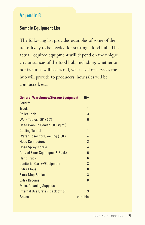# Appendix B

## **Sample Equipment List**

The following list provides examples of some of the items likely to be needed for starting a food hub. The actual required equipment will depend on the unique circumstances of the food hub, including: whether or not facilities will be shared, what level of services the hub will provide to producers, how sales will be conducted, etc.

| <b>General Warehouse/Storage Equipment</b> |                |
|--------------------------------------------|----------------|
| <b>Forklift</b>                            | 1              |
| <b>Truck</b>                               | 1              |
| <b>Pallet Jack</b>                         | 3              |
| Work Tables (60" x 30")                    | 6              |
| Used Walk-In Cooler (800 sq. ft.)          | 1              |
| <b>Cooling Tunnel</b>                      | $\mathbf{1}$   |
| <b>Water Hoses for Cleaning (100')</b>     | 4              |
| <b>Hose Connectors</b>                     | $\overline{2}$ |
| <b>Hose Spray Nozzle</b>                   | 4              |
| <b>Curved Floor Squeegee (3-Pack)</b>      | 6              |
| <b>Hand Truck</b>                          | 6              |
| <b>Janitorial Cart w/Equipment</b>         | 3              |
| <b>Extra Mops</b>                          | 8              |
| <b>Extra Mop Bucket</b>                    | 3              |
| <b>Extra Brooms</b>                        | 8              |
| <b>Misc. Cleaning Supplies</b>             | $\mathbf{1}$   |
| Internal Use Crates (pack of 10)           | 3              |
| <b>Boxes</b>                               | variable       |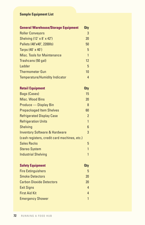## **Sample Equipment List**

| <b>General Warehouse/Storage Equipment</b>   |                |  |
|----------------------------------------------|----------------|--|
| <b>Roller Conveyors</b>                      |                |  |
| Shelving (12' x 8' x 42")                    | 20             |  |
| Pallets (48"x40", 2200lb)                    | 50             |  |
| Tarps (40' x 40')                            | 5              |  |
| <b>Misc. Tools for Maintenance</b>           | 1              |  |
| Trashcans (50 gal)                           | 12             |  |
| Ladder                                       | 5              |  |
| <b>Thermometer Gun</b>                       | 10             |  |
| <b>Temperature/Humidity Indicator</b>        | 4              |  |
| <b>Retail Equipment</b>                      | <b>Oty</b>     |  |
| <b>Bags (Cases)</b>                          | 15             |  |
| <b>Misc. Wood Bins</b>                       | 20             |  |
| <b>Produce - Display Bin</b>                 | 8              |  |
| <b>Prepackaged Item Shelves</b>              | 60             |  |
| <b>Refrigerated Display Case</b>             | $\overline{2}$ |  |
| <b>Refrigeration Units</b>                   | 1              |  |
| <b>Shelving</b>                              | 6              |  |
| <b>Inventory Software &amp; Hardware</b>     | 3              |  |
| (cash registers, credit card machines, etc.) |                |  |
| <b>Sales Racks</b>                           | 5              |  |
| <b>Stereo System</b>                         | 1              |  |
| <b>Industrial Shelving</b>                   | 1              |  |
| <b>Safety Equipment</b>                      | <b>Oty</b>     |  |
| <b>Fire Extinguishers</b>                    | 5              |  |
| <b>Smoke Detectors</b>                       | 20             |  |
| <b>Carbon Dioxide Detectors</b>              | 20             |  |
| <b>Exit Signs</b>                            | 4              |  |
| <b>First Aid Kit</b>                         | 4              |  |
| <b>Emergency Shower</b>                      | 1              |  |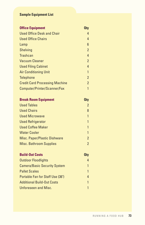## **Sample Equipment List**

| <b>Office Equipment</b>               | <b>Qty</b>     |
|---------------------------------------|----------------|
| <b>Used Office Desk and Chair</b>     | 4              |
| <b>Used Office Chairs</b>             | 4              |
| Lamp                                  | 6              |
| <b>Shelving</b>                       | $\overline{2}$ |
| <b>Trashcan</b>                       | $\overline{4}$ |
| <b>Vacuum Cleaner</b>                 | $\overline{2}$ |
| <b>Used Filing Cabinet</b>            | 4              |
| <b>Air Conditioning Unit</b>          | $\mathbf{1}$   |
| <b>Telephone</b>                      | $\overline{2}$ |
| <b>Credit Card Processing Machine</b> | $\overline{2}$ |
| Computer/Printer/Scanner/Fax          | 1              |
| <b>Break Room Equipment</b>           | <b>Qty</b>     |
| <b>Used Tables</b>                    | $\overline{2}$ |
| <b>Used Chairs</b>                    | 8              |
| <b>Used Microwave</b>                 | 1              |
| <b>Used Refrigerator</b>              | 1              |
| <b>Used Coffee Maker</b>              | $\overline{1}$ |
| <b>Water Cooler</b>                   | $\mathbf{1}$   |
| Misc. Paper/Plastic Dishware          | $\overline{2}$ |
| <b>Misc. Bathroom Supplies</b>        | $\overline{2}$ |
| <b>Build-Out Costs</b>                | <b>Qty</b>     |
| <b>Outdoor Floodlights</b>            | 4              |
| <b>Camera/Basic Security System</b>   | 1              |
| <b>Pallet Scales</b>                  | 1              |
| Portable Fan for Staff Use (36")      | 4              |
| <b>Additional Build-Out Costs</b>     | 1              |
| <b>Unforeseen and Misc.</b>           | 1              |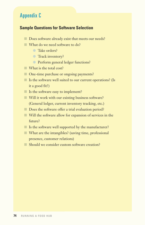## Appendix C

## **Sample Questions for Software Selection**

- Does software already exist that meets our needs?
- $\blacksquare$  What do we need software to do?
	- **l** Take orders?
	- **C** Track inventory?
	- **O** Perform general ledger functions?
- $\blacksquare$  What is the total cost?
- One-time purchase or ongoing payments?
- $\blacksquare$  Is the software well suited to our current operations? (Is it a good fit?)
- $\blacksquare$  Is the software easy to implement?
- $\blacksquare$  Will it work with our existing business software? (General ledger, current inventory tracking, etc.)
- $\Box$  Does the software offer a trial evaluation period?
- $\blacksquare$  Will the software allow for expansion of services in the future?
- $\blacksquare$  Is the software well supported by the manufacturer?
- $\blacksquare$  What are the intangibles? (saving time, professional presence, customer relations)
- Should we consider custom software creation?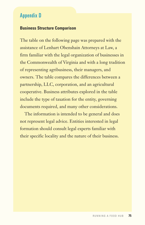## Appendix D

## **Business Structure Comparison**

The table on the following page was prepared with the assistance of Lenhart Obenshain Attorneys at Law, a firm familiar with the legal organization of businesses in the Commonwealth of Virginia and with a long tradition of representing agribusiness, their managers, and owners. The table compares the differences between a partnership, LLC, corporation, and an agricultural cooperative. Business attributes explored in the table include the type of taxation for the entity, governing documents required, and many other considerations.

 The information is intended to be general and does not represent legal advice. Entities interested in legal formation should consult legal experts familiar with their specific locality and the nature of their business.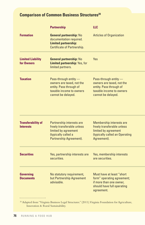# **Comparison of Common Business Structures<sup>20</sup>**

|                                               | <b>Partnership</b>                                                                                                                | <b>LLC</b>                                                                                                                      |
|-----------------------------------------------|-----------------------------------------------------------------------------------------------------------------------------------|---------------------------------------------------------------------------------------------------------------------------------|
| <b>Formation</b>                              | <b>General partnership: No</b><br>documentation required.<br><b>Limited partnership:</b><br><b>Certificate of Partnership.</b>    | <b>Articles of Organization</b>                                                                                                 |
| <b>Limited Liability</b><br>for Owners        | <b>General partnership: No</b><br><b>Limited partnership: Yes, for</b><br>limited partners.                                       | <b>Yes</b>                                                                                                                      |
| <b>Taxation</b>                               | Pass-through entity -<br>owners are taxed, not the<br>entity. Pass through of<br>taxable income to owners<br>cannot be delayed.   | Pass-through entity -<br>owners are taxed, not the<br>entity. Pass through of<br>taxable income to owners<br>cannot be delayed. |
| <b>Transferability of</b><br><b>Interests</b> | Partnership interests are<br>freely transferable unless<br>limited by agreement<br>(typically called a<br>Partnership Agreement). | Membership interests are<br>freely transferable unless<br>limited by agreement<br>(typically called an Operating<br>Agreement). |
| <b>Securities</b>                             | Yes, partnership interests are<br>securities.                                                                                     | Yes, membership interests<br>are securities.                                                                                    |
| <b>Governing</b><br><b>Documents</b>          | No statutory requirement,<br>but Partnership Agreement<br>advisable.                                                              | Must have at least "short<br>form" operating agreement;<br>if more than one owner.<br>should have full operating<br>agreement.  |

<sup>20</sup> Adapted from "Virginia Business Legal Structures." (2011). Virginia Foundation for Agriculture, Innovation & Rural Sustainability.

...................................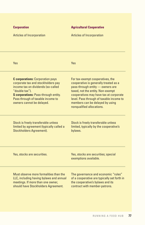| <b>Corporation</b>               |
|----------------------------------|
| <b>Articles of Incorporation</b> |

**C corporations:** Corporation pays corporate tax and stockholders pay income tax on dividends (so-called

**S corporations:** Pass-through entity. Pass through of taxable income to owners cannot be delayed.

Yes

"double tax").

#### **Agricultural Cooperative**

Articles of Incorporation

Yes

For tax-exempt cooperatives, the cooperative is generally treated as a pass-through entity — owners are taxed, not the entity. Non-exempt cooperatives may have tax at corporate level. Pass through of taxable income to members can be delayed by using nonqualified allocations.

Stock is freely transferable unless limited by agreement (typically called a Stockholders Agreement).

Yes, stocks are securities.

Stock is freely transferable unless limited, typically by the cooperative's bylaws.

Yes, stocks are securities; special

exemptions available.

Must observe more formalities than the LLC, including having bylaws and annual meetings. If more than one owner, should have Stockholders Agreement.

The governance and economic "rules" of a cooperative are typically set forth in the cooperative's bylaws and its contract with member-patrons.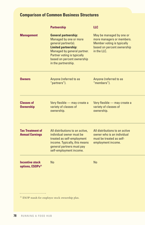# **Comparison of Common Business Structures**

|                                                        | <b>Partnership</b>                                                                                                                                                                                                             | <b>LLC</b>                                                                                                                           |
|--------------------------------------------------------|--------------------------------------------------------------------------------------------------------------------------------------------------------------------------------------------------------------------------------|--------------------------------------------------------------------------------------------------------------------------------------|
| <b>Management</b>                                      | <b>General partnership:</b><br>Managed by one or more<br>general partner(s).<br><b>Limited partnership:</b><br>Managed by general partner.<br>Partner voting is typically<br>based on percent ownership<br>in the partnership. | May be managed by one or<br>more managers or members.<br>Member voting is typically<br>based on percent ownership<br>in the $\Pi$ C. |
| Owners                                                 | Anyone (referred to as<br>"partners").                                                                                                                                                                                         | Anyone (referred to as<br>"members").                                                                                                |
| <b>Classes of</b><br><b>Ownership</b>                  | Very flexible - may create a<br>variety of classes of<br>ownership.                                                                                                                                                            | Very flexible - may create a<br>variety of classes of<br>ownership.                                                                  |
| <b>Tax Treatment of</b><br><b>Annual Earnings</b>      | All distributions to an active,<br>individual owner must be<br>treated as self-employment<br>income. Typically, this means<br>general partners must pay<br>self-employment income.                                             | All distributions to an active<br>owner who is an individual<br>must be treated as self-<br>employment income.                       |
| <b>Incentive stock</b><br>options, ESOPs <sup>21</sup> | No                                                                                                                                                                                                                             | <b>No</b>                                                                                                                            |
|                                                        |                                                                                                                                                                                                                                |                                                                                                                                      |

<sup>21</sup> ESOP stands for employee stock ownership plan.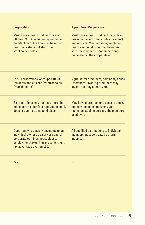#### **Corporation**

Must have a board of directors and officers. Stockholder voting (including the election of the board) is based on how many shares of stock the stockholder holds.

#### **Agricultural Cooperative**

Must have a board of directors (at least one of whom must be a public director) and officers. Member voting (including board elections) is per capita — one vote per member — not on percent ownership in the cooperative.

| For S corporations, only up to 100 U.S. |  |
|-----------------------------------------|--|
| residents and citizens (referred to as  |  |
| "stockholders").                        |  |

S corporations may not have more than one class of stock (but non-voting stock doesn't count as a second class).

May have more than one class of stock,

Agricultural producers, commonly called "members." Non-ag producers may invest, but they cannot vote.

but only common stock may vote (common stockholders are the members, as above).

Opportunity to classify payments to an individual owner as salary or general corporate earnings not subject to employment taxes. This presents slight tax advantage over an LLC.

All qualified distributions to individual members must be treated as farm income.

Yes

No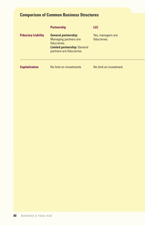# **Comparison of Common Business Structures**

|                            | <b>Partnership</b>                                                                                                                              | <b>LLC</b>                        |
|----------------------------|-------------------------------------------------------------------------------------------------------------------------------------------------|-----------------------------------|
| <b>Fiduciary Liability</b> | <b>General partnership:</b><br><b>Managing partners are</b><br>fiduciaries.<br><b>Limited partnership: General</b><br>partners are fiduciaries. | Yes, managers are<br>fiduciaries. |
| <b>Capitalization</b>      | No limit on investments                                                                                                                         | No limit on investment            |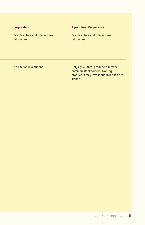#### **Corporation**

Yes, directors and officers are fiduciaries.

#### **Agricultural Cooperative**

Yes, directors and officers are fiduciaries.

No limit on investment

Only agricultural producers may be common stockholders. Non-ag producers may invest but dividends are limited.